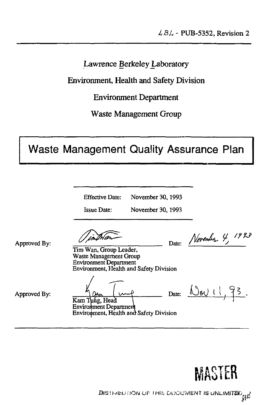Lawrence Berkeley Laboratory

Environment, Health and Safety Division

Environment Department

Waste Management Group

# Waste Management Quality Assurance Plan

Effective Date: November 30, 1993

Issue Date: November 30,1993

Approved By:

Date: <u>*Vierman /*</mark></u>

Tim Wan, Group Leader, Waste Management Group Environment Department Environment, Health and Safety Division

Approved By:

Kam Tung, Head Environment Departmeri

Environment, Health and Safety Division

Date:  $\bigcup_{\mathbf{\Theta}}\bigcup_{\mathbf{\Theta}}\bigcup_{\mathbf{\Theta}}\bigcup_{\mathbf{\Theta}}\bigcap_{\mathbf{\Theta}}\mathbf{S}$ 

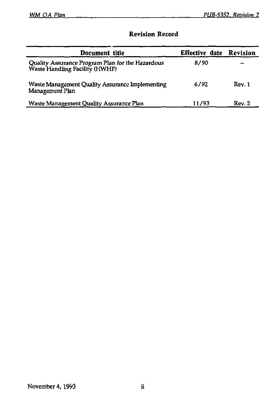### **Revision Record**

| Document title                                                                     | Effective date | Revision |
|------------------------------------------------------------------------------------|----------------|----------|
| Quality Assurance Program Plan for the Hazardous<br>Waste Handling Facility (HWHF) | 8/90           |          |
| Waste Management Quality Assurance Implementing<br>Management Plan                 | 6/92           | Rev. 1   |
| Waste Management Quality Assurance Plan                                            | 11/93          | Rev. 2   |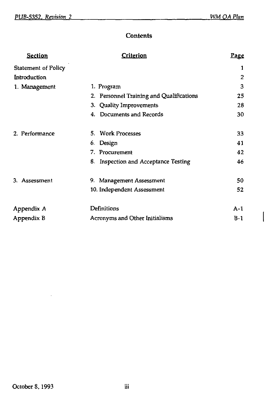$\overline{\phantom{a}}$ 

### **Contents**

| Section                    | Criterion                                | Page  |
|----------------------------|------------------------------------------|-------|
| <b>Statement of Policy</b> |                                          | 1     |
| Introduction               |                                          | 2     |
| 1. Management              | 1. Program                               | 3     |
|                            | 2. Personnel Training and Qualifications | 25    |
|                            | 3. Quality Improvements                  | 28    |
|                            | 4. Documents and Records                 | 30    |
| 2. Performance             | 5. Work Processes                        | 33    |
|                            | Design<br>6.                             | 41    |
|                            | 7.<br>Procurement                        | 42    |
|                            | 8.<br>Inspection and Acceptance Testing  | 46    |
| 3. Assessment              | 9. Management Assessment                 | 50    |
|                            | 10. Independent Assessment               | 52    |
| Appendix A                 | Definitions                              | $A-1$ |
| Appendix B                 | Acronyms and Other Initialisms           | $B-1$ |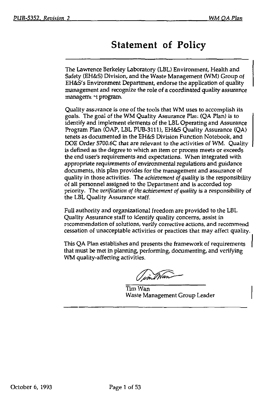# Statement of Policy

The Lawrence Berkeley Laboratory (LBL) Environment, Health and Safety (EH&S) Division, and the Waste Management (WM) Group of EH&S's Environment Department, endorse the application of quality management and recognize the role of a coordinated quality assurance managemc -t program.

Quality assurance is one of the tools that WM uses to accomplish its goals. The goal of the WM Quality Assurance Plai; (QA Plan) is to identify and implement elements of the LBL Operating and Assurance Program Plan (OAP, LBL PUB-3111), EH&S Quality Assurance (QA) tenets as documented in the EH&S Division Function Notebook, and DOE Order 5700.6C that are relevant to the activities of WM. Qualityis defined as the degree to which an item or process meets or exceeds the end user's requirements and expectations. When integrated with appropriate requirements of environmental regulations and guidance documents, this plan provides for the management and assurance of quality in those activities. The *achievement of quality* is the responsibility of all personnel assigned to the Department and is accorded top priority. The *verification of the achievement of quality* is a responsibility of the LBL Quality Assurance staff.

Full authority and organizational freedom are provided to the LBL Quality Assurance staff to identify quality concerns, assist in recommendation of solutions, verify corrective actions, and recommend cessation of unacceptable activities or practices that may affect quality.

This QA Plan establishes and presents the framework of requirements that must be met in planning, performing, documenting, and verifying WM quality-affecting activities.

... Wan

Tim Wan Waste Management Group Leader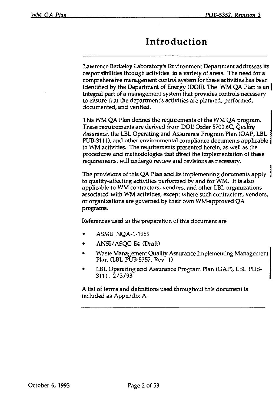# Introduction

Lawrence Berkeley Laboratory's Environment Department addresses its responsibilities through activities in a variety of areas. The need for a comprehensive management control system for these activities has been identified by the Department of Energy (DOE). The WM QA Plan is an integral part of a management system that provides controls necessary to ensure that the department's activities are planned, performed, documented, and verified.

This WM QA Plan defines the requirements of the WM QA program. These requirements are derived from DOE Order 5700.6C, *Quality Assurance,* the LBL Operating and Assurance Program Plan (OAP, LBL PUB-3111), and other environmental compliance documents applicable to WM activities. The requirements presented herein, as well as the procedures and methodologies that direct the implementation of these requirements, will undergo review and revisions as necessary.

The provisions of this QA Plan and its implementing documents apply to quality-affecting activities performed by and for WM. It is also applicable to WM contractors, vendors, and other LBL organizations associated with WM activities, except where such contractors, vendors, or organizations are governed by their own WM-approved QA programs.

References used in the preparation of this document are

- ASME NQA-1-1989
- ANSI/ASQC E4 (Draft)
- Waste Management Quality Assurance Implementing Management Plan (LBL PUB-5352, Rev. 1)
- LBL Operating and Assurance Program Plan (OAP), LBL PUB 3111, 2/3/93

A list of terms and definitions used throughout this document is included as Appendix A.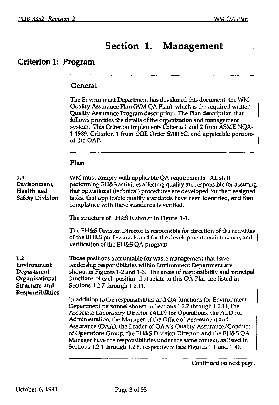1

# Section 1. Management

### Criterion 1: Program

#### **General**

The Environment Department has developed this document, the WM Quality Assurance Plan (WM QA Plan), which is the required written Quality Assurance Program description. The Plan description that follows provides the details of the organization and management system. This Criterion implements Criteria 1 and 2 from ASME NQA-1-1989, Criterion 1 from DOE Order 5700.6C, and applicable portions of the OAP.

#### Plan

| $\mathbf{1.1}$<br>Environment,<br>Health and<br><b>Safety Division</b>                         | WM must comply with applicable QA requirements. All staff<br>performing EH&S activities affecting quality are responsible for assuring<br>that operational (technical) procedures are developed for their assigned<br>tasks, that applicable quality standards have been identified, and that<br>compliance with these standards is verified.                                                                                                                                                                                                                       |
|------------------------------------------------------------------------------------------------|---------------------------------------------------------------------------------------------------------------------------------------------------------------------------------------------------------------------------------------------------------------------------------------------------------------------------------------------------------------------------------------------------------------------------------------------------------------------------------------------------------------------------------------------------------------------|
|                                                                                                | The structure of EH&S is shown in Figure 1-1.                                                                                                                                                                                                                                                                                                                                                                                                                                                                                                                       |
|                                                                                                | The EH&S Division Director is responsible for direction of the activities<br>of the EH&S professionals and for the development, maintenance, and 1<br>verification of the EH&S QA program.                                                                                                                                                                                                                                                                                                                                                                          |
| 1.2<br>Environment<br>Department<br>Organizational<br>Structure and<br><b>Responsibilities</b> | Those positions accountable for waste management that have<br>leadership responsibilities within Environment Department are<br>shown in Figures 1-2 and 1-3. The areas of responsibility and principal<br>functions of each position that relate to this QA Plan are listed in<br>Sections 1.2.7 through 1.2.11.                                                                                                                                                                                                                                                    |
|                                                                                                | In addition to the responsibilities and QA functions for Environment<br>Department personnel shown in Sections 1.2.7 through 1.2.11, the<br>Associate Laboratory Director (ALD) for Operations, the ALD for<br>Administration, the Manager of the Office of Assessment and<br>Assurance (OAA), the Leader of OAA's Quality Assurance/Conduct<br>of Operations Group, the EH&S Division Director, and the EH&S QA<br>Manager have the responsibilities under the same context, as listed in<br>Sections 1.2.1 through 1.2.6, respectively (see Figures 1-1 and 1-4). |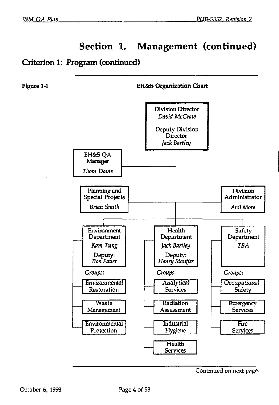### Criterion 1: Program (continued)



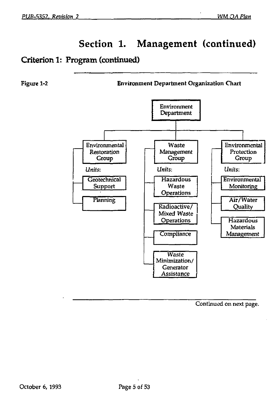### Criterion 1: Program (continued)

Figure 1-2 Environment Department Organization Chart

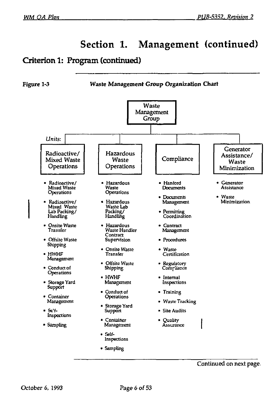### Criterion 1: Program (continued)

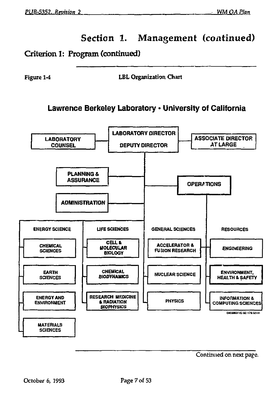### Criterion 1: Program (continued)

**Figure 1-4 LBL Organization Chart** 

### **Lawrence Berkeley Laboratory • University of California**

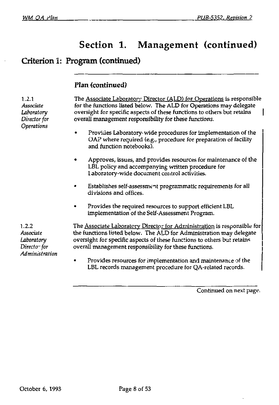### Criterion I: Program (continued)

### Plan (continued)

1.2.1 The Associate Laboratory Director (ALD) for Operations is responsible *Associate* for the functions listed below. The ALD for Operations may delegate *Laboratory* oversight for specific aspects of these functions to others but retains *Director for* overall management responsibility for these functions. Operations • Provides Laboratory-wide procedures for implementation of the OAP where required (e.g., procedure for preparation of facility and function notebooks). • Approves, issues, and provides resources for maintenance of the LBL policy and accompanying written procedure for laboratory-wide document control activities. • Establishes self-assessment programmatic requirements for all divisions and offices. • Provides the required resources to support efficient LBL implementation of the Self-Assessment Program. 1.2.2 The Associate Laboratory Director for Administration is responsible for *Associate* the functions listed below. The ALD for Administration may delegate *Laboratory* oversight for specific aspects of these functions to others but retains *Directo<sup>-</sup>* for overall management responsibility for these functions. *Administration*  • Provides resources for implementation and maintenance of the LBL records management procedure for QA-related records.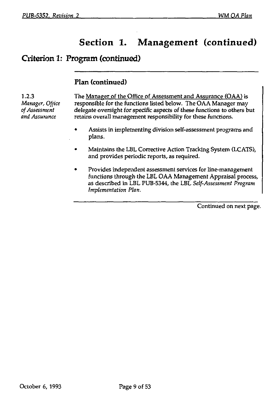### Criterion 1: Program (continued)

#### **Plan (continued)**

1.2.3 The Manager of the Office of Assessment and Assurance (OAA) is *Manager, Office* responsible for the functions listed below. The OAA Manager may of Assessment delegate oversight for specific aspects of these functions to others b *of Assessment* delegate oversight for specific aspects of these functions to others but retains overall management responsibility for these functions.

- Assists in implementing division self-assessment programs and plans.
- Maintains the LBL Corrective Action Tracking System (LCATS), and provides periodic reports, as required.
- Provides independent assessment services for line-management functions through the LBL OAA Management Appraisal process, as described in LBL PUB-5344, the LBL *Self-Assessment Program Implementation Plan.*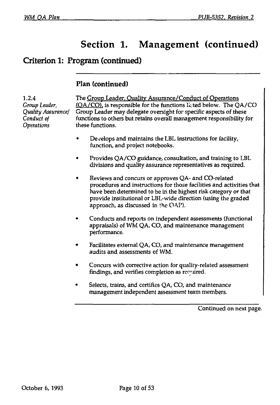### Criterion 1: Program (continued)

#### **Plan (continued)**

1.2.4 *Group Leader, Quality Assurance! Conduct of Operations* 

The Group Leader. Quality Assurance/Conduct of Operations (OA/CO), is responsible for the functions listed below. The QA/CO Group Leader may delegate oversight for specific aspects of these functions to others but retains overall management responsibility for these functions.

- Develops and maintains the LBL instructions for facility, function, and project notebooks.
- Provides QA/CO guidance, consultation, and training to LBL divisions and quality assurance representatives as required.
- Reviews and concurs or approves QA- and CO-related procedures and instructions for those facilities and activities that have been determined to be in the highest risk category or that provide institutional or LBL-wide direction (using the graded approach, as discussed in the GAP).
- Conducts and reports on independent assessments (functional appraisals) of WM QA, CO, and maintenance management performance.
- Facilitates external QA, CO, and maintenance management audits and assessments of WM.
- Concurs with corrective action for quality-related assessment findings, and verifies completion as  $re$  ruired.
- Selects, trains, and certifies QA, CO, and maintenance management independent assessment team members.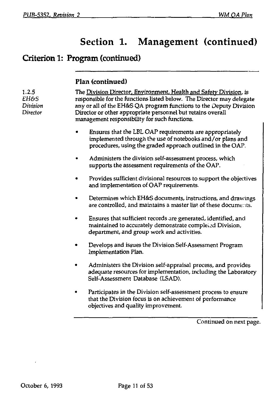# Criterion 1: Program (continued)

### **Plan (continued)**

| 1.2.5<br>EH&S<br>Division<br>Director | The Division Director, Environment, Health and Safety Division, is<br>responsible for the functions listed below. The Director may delegate<br>any or all of the EH&S QA program functions to the Deputy Division<br>Director or other appropriate personnel but retains overall<br>management responsibility for such functions. |
|---------------------------------------|-----------------------------------------------------------------------------------------------------------------------------------------------------------------------------------------------------------------------------------------------------------------------------------------------------------------------------------|
|                                       | Ensures that the LBL OAP requirements are appropriately<br>implemented through the use of notebooks and/or plans and<br>procedures, using the graded approach outlined in the OAP.                                                                                                                                                |
|                                       | Administers the division self-assessment process, which<br>supports the assessment requirements of the OAP.                                                                                                                                                                                                                       |
|                                       | Provides sufficient divisional resources to support the objectives<br>٠<br>and implementation of OAP requirements.                                                                                                                                                                                                                |
|                                       | Determines which EH&S documents, instructions, and drawings<br>are controlled, and maintains a master list of these documents.                                                                                                                                                                                                    |
|                                       | Ensures that sufficient records are generated, identified, and<br>maintained to accurately demonstrate completed Division,<br>department, and group work and activities.                                                                                                                                                          |
|                                       | Develops and issues the Division Self-Assessment Program<br>Implementation Plan.                                                                                                                                                                                                                                                  |
|                                       | Administers the Division self-appraisal process, and provides<br>adequate resources for implementation, including the Laboratory<br>Self-Assessment Database (LSAD).                                                                                                                                                              |
|                                       | Participates in the Division self-assessment process to ensure<br>that the Division focus is on achievement of performance<br>objectives and quality improvement.                                                                                                                                                                 |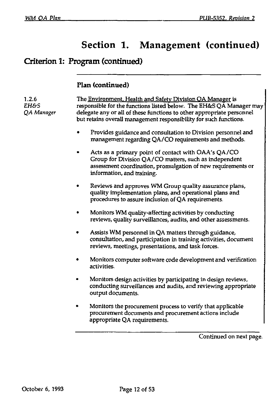# Criterion 1: Program (continued)

### **Plan (continued)**

| 1.2.6<br>EH&S<br>QA Manager | The Environment, Health and Safety Division OA Manager is<br>responsible for the functions listed below. The EH&S QA Manager may<br>delegate any or all of these functions to other appropriate personnel<br>but retains overall management responsibility for such functions. |  |  |  |
|-----------------------------|--------------------------------------------------------------------------------------------------------------------------------------------------------------------------------------------------------------------------------------------------------------------------------|--|--|--|
|                             | Provides guidance and consultation to Division personnel and<br>management regarding QA/CO requirements and methods.                                                                                                                                                           |  |  |  |
|                             | Acts as a primary point of contact with OAA's QA/CO<br>Group for Division QA/CO matters, such as independent<br>assessment coordination, promulgation of new requirements or<br>information, and training.                                                                     |  |  |  |
|                             | Reviews and approves WM Group quality assurance plans,<br>quality implementation plans, and operational plans and<br>procedures to assure inclusion of QA requirements.                                                                                                        |  |  |  |
|                             | Monitors WM quality-affecting activities by conducting<br>reviews, quality surveillances, audits, and other assessments.                                                                                                                                                       |  |  |  |
|                             | Assists WM personnel in QA matters through guidance,<br>consultation, and participation in training activities, document<br>reviews, meetings, presentations, and task forces.                                                                                                 |  |  |  |
|                             | Monitors computer software code development and verification<br>activities.                                                                                                                                                                                                    |  |  |  |
|                             | Monitors design activities by participating in design reviews,<br>conducting surveillances and audits, and reviewing appropriate<br>output documents.                                                                                                                          |  |  |  |
|                             | Monitors the procurement process to verify that applicable<br>procurement documents and procurement actions include<br>appropriate QA requirements.                                                                                                                            |  |  |  |
|                             | Continued on next page.                                                                                                                                                                                                                                                        |  |  |  |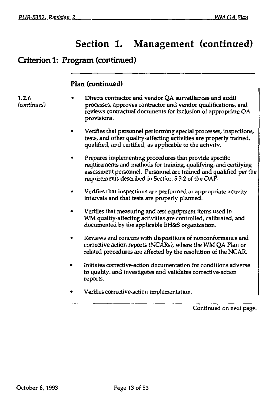### **Criterion 1: Program (continued)**

### **Plan (continued)**

- 1.2.6 Directs contractor and vendor QA surveillances and audit<br>
feontinued) encodesses, approves contractor and vendor qualifications. processes, approves contractor and vendor qualifications, and reviews contractual documents for inclusion of appropriate QA provisions.
	- Verifies that personnel performing special processes, inspections, tests, and other quality-affecting activities are properly trained, qualified, and certified, as applicable to the activity.
	- Prepares implementing procedures that provide specific requirements and methods for training, qualifying, and certifying assessment personnel. Personnel are trained and qualified per the requirements described in Section 5.3.2 of the OAP.
	- Verifies that inspections are performed at appropriate activity intervals and that tests are properly planned.
	- Verifies that measuring and test equipment items used in WM quality-affecting activities are controlled, calibrated, and documented by the applicable EH&S organization.
	- Reviews and concurs with dispositions of nonconformance and corrective action reports (NCARs), where the WM QA Plan *or*  related procedures are affected by the resolution of the NCAR.
	- Initiates corrective-action documentation for conditions adverse to quality, and investigates and validates corrective-action reports.
	- Verifies corrective-action implementation.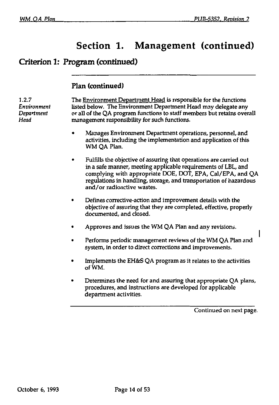### **Criterion 1: Program (continued)**

#### **Plan (continued)**

1.2.7 The Environment Department Head is responsible for the functions *Environment* listed below. The Environment Department Head may delegate any *Department* or all of the QA program functions to staff members but retains overall <br>Head **management responsibility for such functions** management responsibility for such functions.

- Manages Environment Department operations, personnel, and activities, including the implementation and application of this WM QA Plan.
- Fulfills the objective of assuring that operations are carried out in a safe manner, meeting applicable requirements of LBL, and complying with appropriate DOE, DOT, EPA, Cal/EPA, and QA regulations in handling, storage, and transportation of hazardous and/or radioactive wastes.
- Defines corrective-action and improvement details with the objective of assuring that they are completed, effective, properly documented, and closed.
- Approves and issues the WM QA Plan and any revisions.
- Performs periodic management reviews of the WM QA Plan and system, in order to direct corrections and improvements.
- Implements the EH&S QA program as it relates to the activities ofWM.
- Determines the need for and assuring that appropriate QA plans, procedures, and instructions are developed for applicable department activities.

Continued on next page.

ı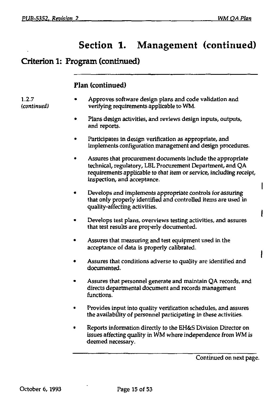### Criterion 1: Program (continued)

#### **Flan (continued)**

- Approves software design plans and code validation and verifying requirements applicable to WM.
	- Plans design activities, and reviews design inputs, outputs, and reports.
	- Participates in design verification as appropriate, and implements configuration management and design procedures.
	- Assures that procurement documents include the appropriate technical, regulatory, LBL Procurement Department, and QA requirements applicable to that item or service, including receipt, inspection, and acceptance.
	- Develops and implements appropriate controls for assuring that only properly identified and controlled items are used in quality-affecting activities.
	- Develops test plans, overviews testing activities, and assures that test results are properly documented.
	- Assures that measuring and test equipment used in the acceptance of data is properly calibrated.
	- Assures that conditions adverse to quality are identified and documented.
	- Assures that personnel generate and maintain QA records, and directs departmental document and records management functions.
	- Provides input into quality verification schedules, and assures the availability of personnel participating in these activities.
	- Reports information directly to the EH&S Division Director on issues affecting quality in WM where independence from WM is deemed necessary.

Continued on next page.

 $1.2.7$ (continued)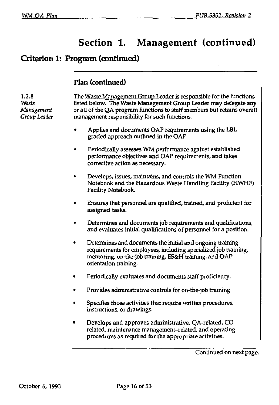### **Criterion 1: Program (continued)**

#### **Plan (continued)**

1.2.8 The Waste Management Group Leader is responsible for the functions<br>Waste Tisted below. The Waste Management Group Leader may delegate any *Waste* listed below. The Waste Management Group Leader may delegate any *Management* or all of the QA program functions to staff members but retains overall *Group Leader* management responsibility for such functions.

- Applies and documents OAP requirements using the LBL graded approach outlined in the OAP.
- Periodically assesses WM performance against established performance objectives and OAP requirements, and takes corrective action as necessary.
- Develops, issues, maintains, and controls the WM Function Notebook and the Hazardous Waste Handling Facility (KWHF) Facility Notebook.
- Ensures that personnel are qualified, trained, and proficient for assigned tasks.
- Determines and documents job requirements and qualifications, and evaluates initial qualifications of personnel for a position.
- Determines and documents the initial and ongoing training requirements for employees, including specialized job training, mentoring, on-the-job training, ES&H training, and OAP orientation training.
- Periodically evaluates and documents staff proficiency.
- Provides administrative controls for on-the-job training.
- Specifies those activities that require written procedures, instructions, or drawings.
- Develops and approves administrative, QA-related, COrelated, maintenance management-related, and operating procedures as required for the appropriate activities.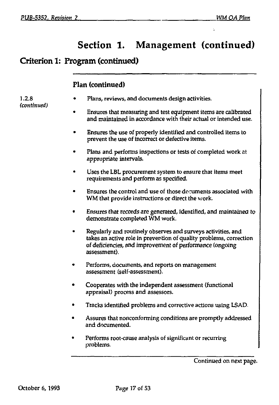### Criterion 1: Program (continued)

### **Flan (continued)**

 $1.2.8$ (continued)

- Flans, reviews, and documents design activities.
- Ensures that measuring and test equipment items are calibrated and maintained in accordance with their actual or intended use.
- Ensures the use of properly identified and controlled items to prevent the use of incorrect or defective items.
- Plans and performs inspections or tests of completed work at appropriate intervals.
- Uses the LBL procurement system to ensure that items meet requirements and perform as specified.
- Ensures the control and use of those documents associated with WM that provide instructions or direct the work.
- Ensures that records are generated, identified, and maintained to demonstrate completed WM work.
- Regularly and routinely observes and surveys activities, and takes an active role in prevention of quality problems, correction of deficiencies, and improvement of performance (ongoing assessment).
- Performs, documents, and reports on management assessment (self-assessment).
- Cooperates with the independent assessment (functional appraisal) process and assessors.
- Tracks identified problems and corrective actions using LSAD.
- Assures that nonconforming conditions are promptly addressed and documented.
- Performs root-cause analysis of significant or recurring problems.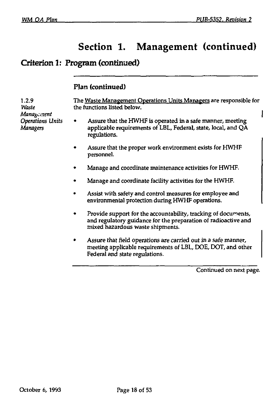# Criterion 1: Program (continued)

### **Plan (continued)**

| 1.2.9<br>Waste<br>Management | The Waste Management Operations Units Managers are responsible for<br>the functions listed below. |                                                                                                                                                                      |
|------------------------------|---------------------------------------------------------------------------------------------------|----------------------------------------------------------------------------------------------------------------------------------------------------------------------|
| Operations Units<br>Managers |                                                                                                   | Assure that the HWHF is operated in a safe manner, meeting<br>applicable requirements of LBL, Federal, state, local, and QA<br>regulations.                          |
|                              |                                                                                                   | Assure that the proper work environment exists for HWHF<br>personnel.                                                                                                |
|                              |                                                                                                   | Manage and coordinate maintenance activities for HWHF.                                                                                                               |
|                              |                                                                                                   | Manage and coordinate facility activities for the HWHF.                                                                                                              |
|                              |                                                                                                   | Assist with safety and control measures for employee and<br>environmental protection during HWHF operations.                                                         |
|                              |                                                                                                   | Provide support for the accountability, tracking of documents,<br>and regulatory guidance for the preparation of radioactive and<br>mixed hazardous waste shipments. |
|                              | ۰                                                                                                 | Assure that field operations are carried out in a safe manner,<br>meeting applicable requirements of LBL, DOE, DOT, and other<br>Federal and state regulations.      |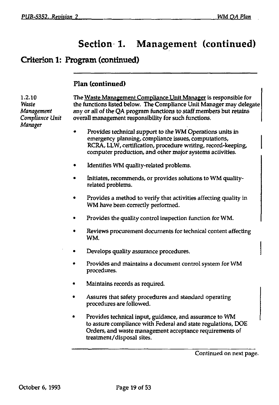$\mathbf{I}$ 

# Section 1. Management (continued)

# Criterion 1: Program (continued)

### **Plan (continued)**

| 1.2.10<br>Waste<br>Management<br>Compliance Unit<br>Manager | The Waste Management Compliance Unit Manager is responsible for<br>the functions listed below. The Compliance Unit Manager may delegate<br>any or all of the QA program functions to staff members but retains<br>overall management responsibility for such functions. |
|-------------------------------------------------------------|-------------------------------------------------------------------------------------------------------------------------------------------------------------------------------------------------------------------------------------------------------------------------|
|                                                             | Provides technical support to the WM Operations units in<br>emergency planning, compliance issues, computations,<br>RCRA, LLW, certification, procedure writing, record-keeping,<br>computer production, and other major systems activities.                            |
|                                                             | Identifies WM quality-related problems.                                                                                                                                                                                                                                 |
|                                                             | Initiates, recommends, or provides solutions to WM quality-<br>related problems.                                                                                                                                                                                        |
|                                                             | Provides a method to verify that activities affecting quality in<br>WM have been correctly performed.                                                                                                                                                                   |
|                                                             | Provides the quality control inspection function for WM.                                                                                                                                                                                                                |
|                                                             | Reviews procurement documents for technical content affecting<br>WM.                                                                                                                                                                                                    |
|                                                             | Develops quality assurance procedures.                                                                                                                                                                                                                                  |
|                                                             | Provides and maintains a document control system for WM<br>procedures.                                                                                                                                                                                                  |
|                                                             | Maintains records as required.                                                                                                                                                                                                                                          |
|                                                             | Assures that safety procedures and standard operating<br>procedures are followed.                                                                                                                                                                                       |
|                                                             | Provides technical input, guidance, and assurance to WM<br>to assure compliance with Federal and state regulations, DOE<br>Orders, and waste management acceptance requirements of<br>treatment/disposal sites.                                                         |
|                                                             |                                                                                                                                                                                                                                                                         |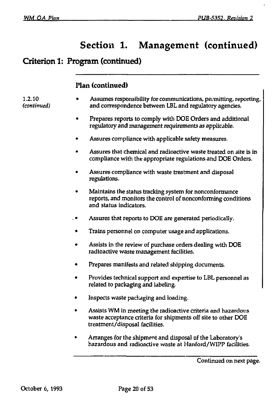### Criterion 1: Program (continued)

#### **Plan (continued)**

1.2.10 *(continued)* 

- Assumes responsibility for communications, permitting, reporting, and correspondence between LBL and regulatory agencies.
- Prepares reports to comply with DOE Orders and additional regulatory and management requirements as applicable.
- Assures compliance with applicable safety measures.
- Assures that chemical and radioactive waste treated on site is in compliance with the appropriate regulations and DOE Orders.
- Assures compliance with waste treatment and disposal regulations.
- Maintains the status tracking system for nonconformance reports, and monitors the control of nonconforming conditions and status indicators.
- Assures that reports to DOE are generated periodically.
- Trains personnel on computer usage and applications.
- Assists in the review of purchase orders dealing with DOE radioactive waste management facilities.
- Prepares manifests and related shipping documents.
- Provides technical support and expertise to LBL personnel as related to packaging and labeling.
- Inspects waste packaging and loading.
- Assists WM in meeting the radioactive criteria and hazardous waste acceptance criteria for shipments off site to other DOE treatment/disposal facilities.
- Arranges for the shipment and disposal of the Laboratory's hazardous and radioactive waste at Hanford/WIPP facilities.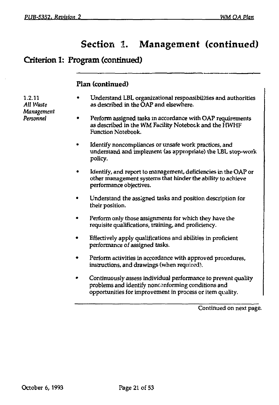### Criterion 1: Program (continued)

#### **Plan (continued)**

1.2.11 *All Waste Management Personnel* 

- Understand LBL organizational responsibilities and authorities as described in the OAF and elsewhere.
- Perform assigned tasks in accordance with OAP requirements as described in the WM Facility Notebook and the HWHF Function Notebook.
- Identify noncompliances or unsafe work practices, and understand and implement (as appropriate) the LBL stop-work policy.
- Identify, and report to management, deficiencies in the OAP or other management systems that hinder the ability to achieve performance objectives.
- Understand the assigned tasks and position description for their position.
- Perform only those assignments for which they have the requisite qualifications, training, and proficiency.
- Effectively apply qualifications and abilities in proficient performance of assigned tasks.
- Perform activities in accordance with approved procedures, instructions, and drawings (when required).
- Continuously assess individual performance to prevent quality problems and identify nonconforming conditions and opportunities for improvement in process or item quality.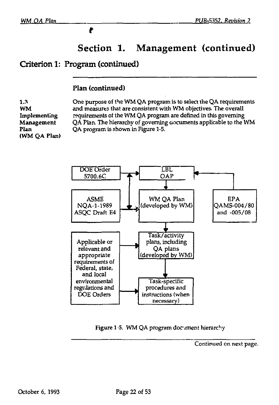### Criterion 1: Program (continued)

Þ

#### **Plan (continued)**

**1.3 WM Implementing Management Plan (WM QA Flan)**  One purpose of the WM QA program is to select the QA requirements and measures that are consistent with WM objectives. The overall requirements of the WM QA program are defined in this governing QA Plan. The hierarchy of governing ciocuments applicable to the WM QA program is shown in Figure 1-5.



Figure 1-5. WM QA program document hierarchy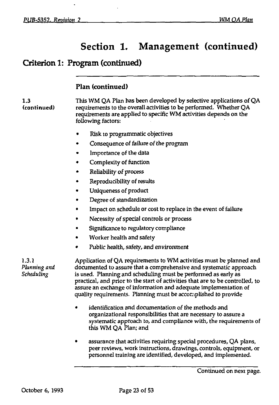### Criterion 1: Program (continued)

#### **Plan (continued)**

1.3 This WM QA Plan has been developed by selective applications of QA **(continued)** requirements to the overall activities to be performed. Whether QA requirements are applied to specific WM activities depends on the following factors:

- Risk to programmatic objectives
- Consequence of failure of the program
- Importance of the data
- Complexity of function
- Reliability of process
- Reproducibility of results
- Uniqueness of product
- Degree of standardization
- Impact on schedule or cost to replace in the event of failure
- Necessity of special controls or process
- Significance to regulatory compliance
- Worker health and safety
- Public health, safety, and environment

1.3.1 Application of QA requirements to WM activities must be planned and *Planning and* documented to assure that a comprehensive and systematic approach *Scheduling* is used. Planning and scheduling must be performed as early as practical, and prior to the start of activities that are to be controlled, to assure an exchange of information and adequate implementation of quality requirements. Planning must be accomplished to provide

- identification and documentation of the methods and organizational responsibilities that are necessary to assure a systematic approach to, and compliance with, the requirements of this WM QA Plan; and
- assurance that activities requiring special procedures, QA plans, peer reviews, work instructions, drawings, controls, equipment, or personnel training are identified, developed, and implemented.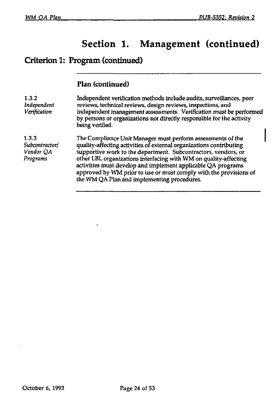# Criterion 1: Program (continued)

### **Plan (continued)**

| 1.3.2<br>Independent<br>Verification             | Independent verification methods include audits, surveillances, peer<br>reviews, technical reviews, design reviews, inspections, and<br>independent management assessments. Verification must be performed<br>by persons or organizations not directly responsible for the activity<br>being verified.                                                                                                                                                       |
|--------------------------------------------------|--------------------------------------------------------------------------------------------------------------------------------------------------------------------------------------------------------------------------------------------------------------------------------------------------------------------------------------------------------------------------------------------------------------------------------------------------------------|
| 1.3.3<br>Subcontractor/<br>Vendor QA<br>Programs | The Compliance Unit Manager must perform assessments of the<br>quality-affecting activities of external organizations contributing<br>supportive work to the department. Subcontractors, vendors, or<br>other LBL organizations interfacing with WM on quality-affecting<br>activities must develop and implement applicable QA programs<br>approved by WM prior to use or must comply with the provisions of<br>the WM QA Plan and implementing procedures. |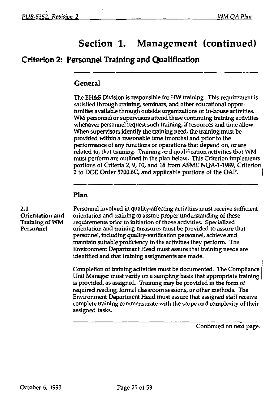### Criterion 2: Personnel Training and Qualification

#### **General**

The EH&S Division is responsible for HW training. This requirement is satisfied through training, seminars, and other educational opportunities available through outside organizations or in-house activities. WM personnel or supervisors attend these continuing training activities whenever personnel request such training, if resources and time allow. When supervisors identify the training need, the training must be provided within a reasonable time (months) and prior to the performance of any functions or operations that depend on, or are related to, that training. Training and qualification activities that WM must perform are outlined in the plan below. This Criterion implements portions of Criteria 2,9,10, and 18 from ASME NQA-1-1989, Criterion 2 to DOE Order 5700.6C, and applicable portions of the OAP.

#### **Plan**

2.1 Personnel involved in quality-affecting activities must receive sufficient<br>Orientation and orientation and training to assure proper understanding of these orientation and training to assure proper understanding of these Training of WM requirements prior to initiation of those activities. Specialized<br>Personnel orientation and training measures must be provided to assure to orientation and training measures must be provided to assure that personnel, including quality-verification personnel, achieve and maintain suitable proficiency in the activities they perform. The Environment Department Head must assure that training needs are identified and that training assignments are made.

> Completion of training activities must be documented. The Compliance Unit Manager must verify on a sampling basis that appropriate training is provided, as assigned. Training may be provided in the form of required reading, formal classroom sessions, or other methods. The Environment Department Head must assure that assigned staff receive complete training commensurate with the scope and complexity of their assigned tasks.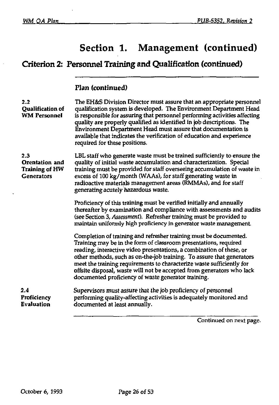# **Criterion 2: Personnel Training and Qualification (continued)**

### **Plan (continued)**

| 2.2<br>Qualification of<br><b>WM Personnel</b>               | The EH&S Division Director must assure that an appropriate personnel<br>qualification system is developed. The Environment Department Head<br>is responsible for assuring that personnel performing activities affecting<br>quality are properly qualified as identified in job descriptions. The<br>Environment Department Head must assure that documentation is<br>available that indicates the verification of education and experience<br>required for these positions.                    |
|--------------------------------------------------------------|-------------------------------------------------------------------------------------------------------------------------------------------------------------------------------------------------------------------------------------------------------------------------------------------------------------------------------------------------------------------------------------------------------------------------------------------------------------------------------------------------|
| 2.3<br>Orentation and<br>Training of HW<br><b>Generators</b> | LBL staff who generate waste must be trained sufficiently to ensure the<br>quality of initial waste accumulation and characterization. Special<br>training must be provided for staff overseeing accumulation of waste in<br>excess of 100 kg/month (WAAs), for staff generating waste in<br>radioactive materials management areas (RMMAs), and for staff<br>generating acutely hazardous waste.                                                                                               |
|                                                              | Proficiency of this training must be verified initially and annually<br>thereafter by examination and compliance with assessments and audits<br>(see Section 3, Assessment). Refresher training must be provided to<br>maintain uniformly high proficiency in generator waste management.                                                                                                                                                                                                       |
|                                                              | Completion of training and refresher training must be documented.<br>Training may be in the form of classroom presentations, required<br>reading, interactive video presentations, a combination of these, or<br>other methods, such as on-the-job training. To assure that generators<br>meet the training requirements to characterize waste sufficiently for<br>offsite disposal, waste will not be accepted from generators who lack<br>documented proficiency of waste generator training. |
| 2.4<br>Proficiency<br><b>Evaluation</b>                      | Supervisors must assure that the job proficiency of personnel<br>performing quality-affecting activities is adequately monitored and<br>documented at least annually.                                                                                                                                                                                                                                                                                                                           |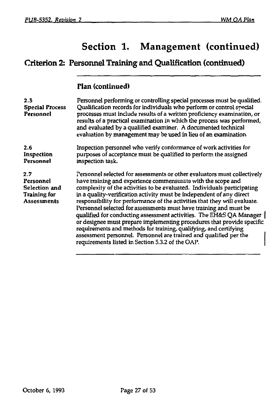# **Criterion 2: Personnel Training and Qualification (continued)**

#### **Plan (continued)**

| 2.5<br><b>Special Process</b><br>Personnel                                     | Personnel performing or controlling special processes must be qualified.<br>Qualification records for individuals who perform or control special<br>processes must include results of a written proficiency examination, or<br>results of a practical examination in which the process was performed,<br>and evaluated by a qualified examiner. A documented technical<br>evaluation by management may be used in lieu of an examination.                                                                                                                                                                                                                                                                                                                                                      |
|--------------------------------------------------------------------------------|------------------------------------------------------------------------------------------------------------------------------------------------------------------------------------------------------------------------------------------------------------------------------------------------------------------------------------------------------------------------------------------------------------------------------------------------------------------------------------------------------------------------------------------------------------------------------------------------------------------------------------------------------------------------------------------------------------------------------------------------------------------------------------------------|
| 2.6<br>Inspection<br>Personnel                                                 | Inspection personnel who verify conformance of work activities for<br>purposes of acceptance must be qualified to perform the assigned<br>inspection task.                                                                                                                                                                                                                                                                                                                                                                                                                                                                                                                                                                                                                                     |
| 2.7<br>Personnel<br>Selection and<br><b>Training for</b><br><b>Assessments</b> | Personnel selected for assessments or other evaluators must collectively<br>have training and experience commensurate with the scope and<br>complexity of the activities to be evaluated. Individuals participating<br>in a quality-verification activity must be independent of any direct<br>responsibility for performance of the activities that they will evaluate.<br>Personnel selected for assessments must have training and must be<br>qualified for conducting assessment activities. The EH&S QA Manager  <br>or designee must prepare implementing procedures that provide specific<br>requirements and methods for training, qualifying, and certifying<br>assessment personnel. Personnel are trained and qualified per the<br>requirements listed in Section 5.3.2 of the OAP. |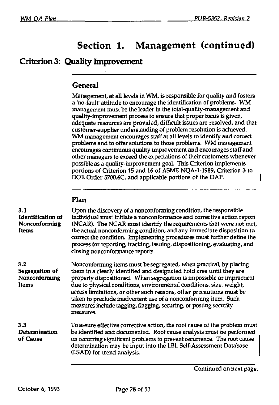### Criterion 3: Quality Improvement

#### **General**

Management, at all levels in WM, is responsible for quality and fosters a 'no-fault' attitude to encourage the identification of problems. WM management must be the leader in the total-quality-management and quality-improvement process to ensure that proper focus is given, adequate resources are provided, difficult issues are resolved, and that customer-supplier understanding of problem resolution is achieved. WM management encourages staff at all levels to identify and correct problems and to offer solutions to those problems. WM management encourages continuous quality improvement and encourages staff and other managers to exceed the expectations of their customers whenever possible as a quality-improvement goal. This Criterion implements portions of Criterion 15 and 16 of ASME NQA-1-1989, Criterion 3 to DOE Order 5700.6C, and applicable portions of the OAP.

### **Flan**

| 3.1<br><b>Identification of</b><br>Nonconforming<br>Items | Upon the discovery of a nonconforming condition, the responsible<br>individual must initiate a nonconformance and corrective action report<br>(NCAR). The NCAR must identify the requirements that were not met,<br>the actual nonconforming condition, and any immediate disposition to<br>correct the condition. Implementing procedures must further define the<br>process for reporting, tracking, issuing, dispositioning, evaluating, and<br>closing nonconformance reports.                                      |
|-----------------------------------------------------------|-------------------------------------------------------------------------------------------------------------------------------------------------------------------------------------------------------------------------------------------------------------------------------------------------------------------------------------------------------------------------------------------------------------------------------------------------------------------------------------------------------------------------|
| 3.2<br>Segregation of<br>Nonconforming<br>Items           | Nonconforming items must be segregated, when practical, by placing<br>them in a clearly identified and designated hold area until they are<br>properly dispositioned. When segregation is impossible or impractical<br>due to physical conditions, environmental conditions, size, weight,<br>access limitations, or other such reasons, other precautions must be<br>taken to preclude inadvertent use of a nonconforming item. Such<br>measures include tagging, flagging, securing, or posting security<br>measures. |
| 3.3<br>Determination<br>of Cause                          | To assure effective corrective action, the root cause of the problem must<br>be identified and documented. Root cause analysis must be performed<br>on recurring significant problems to prevent recurrence. The root cause<br>determination may be input into the LBL Self-Assessment Database<br>(LSAD) for trend analysis.                                                                                                                                                                                           |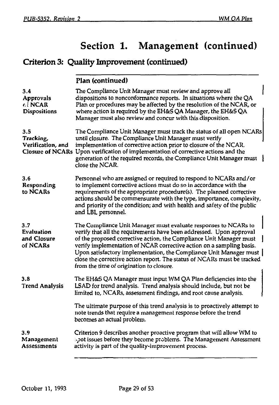# Criterion 3: Quality Improvement (continued)

**Plan (continued)** 

| 3.4<br>Approvals<br><b>ci NCAR</b><br><b>Dispositions</b>        | The Compliance Unit Manager must review and approve all<br>dispositions to nonconformance reports. In situations where the QA<br>Plan or procedures may be affected by the resolution of the NCAR, or<br>where action is required by the EH&S QA Manager, the EH&S QA<br>Manager must also review and concur with this disposition.                                                                                                                                                |
|------------------------------------------------------------------|------------------------------------------------------------------------------------------------------------------------------------------------------------------------------------------------------------------------------------------------------------------------------------------------------------------------------------------------------------------------------------------------------------------------------------------------------------------------------------|
| 3.5<br>Tracking,<br>Verification, and<br><b>Closure of NCARs</b> | The Compliance Unit Manager must track the status of all open NCARs<br>until closure. The Compliance Unit Manager must verify<br>implementation of corrective action prior to closure of the NCAR.<br>Upon verification of implementation of corrective actions and the<br>generation of the required records, the Compliance Unit Manager must<br>close the NCAR.                                                                                                                 |
| 3.6<br>Responding<br>to NCARs                                    | Personnel who are assigned or required to respond to NCARs and/or<br>to implement corrective actions must do so in accordance with the<br>requirements of the appropriate procedure(s). The planned corrective<br>actions should be commensurate with the type, importance, complexity,<br>and priority of the condition; and with health and safety of the public<br>and LBL personnel.                                                                                           |
| 3.7<br>Evaluation<br>and Closure<br>of NCARs                     | The Compliance Unit Manager must evaluate responses to NCARs to<br>verify that all the requirements have been addressed. Upon approval<br>of the proposed corrective action, the Compliance Unit Manager must<br>verify implementation of NCAR corrective action on a sampling basis.<br>Upon satisfactory implementation, the Compliance Unit Manager must<br>close the corrective action report. The status of NCARs must be tracked<br>from the time of origination to closure. |
| 3.8<br><b>Trend Analysis</b>                                     | The EH&S QA Manager must input WM QA Plan deficiencies into the<br>LSAD for trend analysis. Trend analysis should include, but not be<br>limited to, NCARs, assessment findings, and root cause analysis.                                                                                                                                                                                                                                                                          |
|                                                                  | The ultimate purpose of this trend analysis is to proactively attempt to<br>note trends that require a management response before the trend<br>becomes an actual problem.                                                                                                                                                                                                                                                                                                          |
| 3.9<br>Management<br>Assessments                                 | Criterion 9 describes another proactive program that will allow WM to<br>pot issues before they become problems. The Management Assessment<br>activity is part of the quality-improvement process.                                                                                                                                                                                                                                                                                 |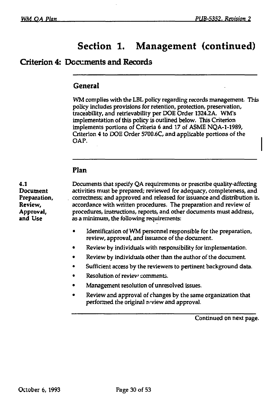### **Criterion 4: Documents and Records**

#### **General**

WM complies with the LBL policy regarding records management. This policy includes provisions for retention, protection, preservation, traceability, and retrievability per DOE Order 1324.2A. WM's implementation of this policy is outlined below. This Criterion implements portions of Criteria 6 and 17 of ASME NQA-1-1989, Criterion 4 to DOE Order 5700.6C, and applicable portions of the OAP.

#### **Plan**

**4.1 Document Preparation, Review, Approval, and** Use

Documents that specify QA requirements or prescribe quality-affecting activities must be prepared; reviewed for adequacy, completeness, and correctness; and approved and released for issuance and distribution ii. accordance with written procedures. The preparation and review of procedures, instructions, reports, and other documents must address, as a minimum, the following requirements:

- Identification of WM personnel responsible for the preparation, review, approval, and issuance of the document.
- Review by individuals with responsibility for implementation.
- Review by individuals other than the author of the document.
- Sufficient access by the reviewers to pertinent background data.
- Resolution of review comments.
- Management resolution of unresolved issues.
- Review and approval of changes by the same organization that performed the original review and approval.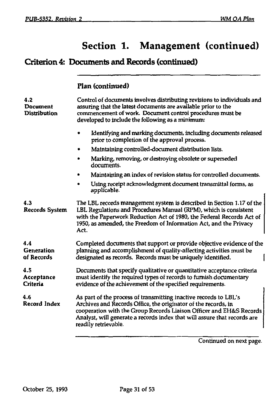# Criterion 4: Documents and Records (continued)

### **Flan (continued)**

| 4.2<br>Document<br><b>Distribution</b> | Control of documents involves distributing revisions to individuals and<br>assuring that the latest documents are available prior to the<br>commencement of work. Document control procedures must be<br>developed to include the following as a minimum:                                                     |
|----------------------------------------|---------------------------------------------------------------------------------------------------------------------------------------------------------------------------------------------------------------------------------------------------------------------------------------------------------------|
|                                        | Identifying and marking documents, including documents released<br>٠<br>prior to completion of the approval process.                                                                                                                                                                                          |
|                                        | Maintaining controlled-document distribution lists.<br>۰                                                                                                                                                                                                                                                      |
|                                        | Marking, removing, or destroying obsolete or superseded<br>documents.                                                                                                                                                                                                                                         |
|                                        | Maintaining an index of revision status for controlled documents.<br>٠                                                                                                                                                                                                                                        |
|                                        | Using receipt acknowledgment document transmittal forms, as<br>applicable.                                                                                                                                                                                                                                    |
| 4.3<br><b>Records System</b>           | The LBL records management system is described in Section 1.17 of the<br>LBL Regulations and Procedures Manual (RPM), which is consistent<br>with the Paperwork Reduction Act of 1980, the Federal Records Act of<br>1950, as amended, the Freedom of Information Act, and the Privacy<br>Act.                |
| 4.4<br>Generation<br>of Records        | Completed documents that support or provide objective evidence of the<br>planning and accomplishment of quality-affecting activities must be<br>designated as records. Records must be uniquely identified.                                                                                                   |
| 4.5<br>Acceptance<br>Criteria          | Documents that specify qualitative or quantitative acceptance criteria<br>must identify the required types of records to furnish documentary<br>evidence of the achievement of the specified requirements.                                                                                                    |
| 4.6<br>Record Index                    | As part of the process of transmitting inactive records to LBL's<br>Archives and Records Office, the originator of the records, in<br>cooperation with the Group Records Liaison Officer and EH&S Records<br>Analyst, will generate a records index that will assure that records are<br>readily retrievable. |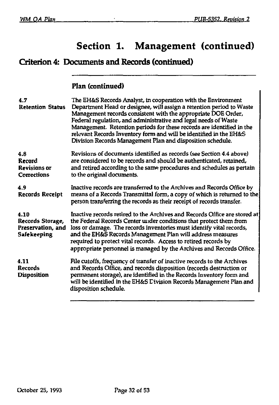$\blacksquare$ 

# **Section 1. Management (continued)**

# **Criterion 4: Documents and Records (continued)**

### **Plan (continued)**

| 4.7<br><b>Retention Status</b>                                      | The EH&S Records Analyst, in cooperation with the Environment<br>Department Head or designee, will assign a retention period to Waste<br>Management records consistent with the appropriate DOE Order,<br>Federal regulation, and administrative and legal needs of Waste<br>Management. Retention periods for these records are identified in the<br>relevant Records Inventory form and will be identified in the EH&S<br>Division Records Management Plan and disposition schedule. |
|---------------------------------------------------------------------|----------------------------------------------------------------------------------------------------------------------------------------------------------------------------------------------------------------------------------------------------------------------------------------------------------------------------------------------------------------------------------------------------------------------------------------------------------------------------------------|
| 4.8<br>Record<br><b>Revisions or</b><br><b>Corrections</b>          | Revisions of documents identified as records (see Section 4.4 above)<br>are considered to be records and should be authenticated, retained,<br>and retired according to the same procedures and schedules as pertain<br>to the original documents.                                                                                                                                                                                                                                     |
| 4.9<br><b>Records Receipt</b>                                       | Inactive records are transferred to the Archives and Records Office by<br>means of a Records Transmittal form, a copy of which is returned to the<br>person transferring the records as their receipt of records transfer.                                                                                                                                                                                                                                                             |
| 4.10<br>Records Storage,<br>Preservation, and<br><b>Safekeeping</b> | Inactive records retired to the Archives and Records Office are stored at<br>the Federal Records Center under conditions that protect them from<br>loss or damage. The records inventories must identify vital records,<br>and the EH&S Records Management Plan will address measures<br>required to protect vital records. Access to retired records by<br>appropriate personnel is managed by the Archives and Records Office.                                                       |
| 4.11<br>Records<br>Disposition                                      | File cutoffs, frequency of transfer of inactive records to the Archives<br>and Records Office, and records disposition (records destruction or<br>permanent storage), are identified in the Records Inventory form and<br>will be identified in the EH&S Division Records Management Plan and<br>disposition schedule.                                                                                                                                                                 |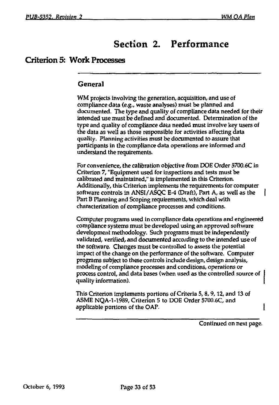# Section 2. Performance

#### Criterion 5: Work Processes

#### **General**

WM projects involving the generation, acquisition, and use of compliance data (e.g., waste analyses) must be planned and documented. The type and quality of compliance data needed for their intended use must be defined and documented. Determination of the type and quality of compliance data needed must involve key users of the data as well as those responsible for activities affecting data quality. Planning activities must be documented to assure that participants in the compliance data operations are informed and understand the requirements.

For convenience, the calibration objective from DOE Order 5700.6C in Criterion 7, "Equipment used for inspections and tests must be calibrated and maintained," is implemented in this Criterion. Additionally, this Criterion implements the requirements for computer software controls in ANSI/ASOC E-4 (Draft), Part A, as well as the Part B Planning and Scoping requirements, which deal with characterization of compliance processes and conditions.

Computer programs used in compliance data operations and engineered compliance systems must be developed using an approved software development methodology. Such programs must be independently validated, verified, and documented according to the intended use of the software. Changes must be controlled to assess the potential impact of the change on the performance of the software. Computer programs subject to these controls include design, design analysis, modeling of compliance processes and conditions, operations or process control, and data bases (when used as the controlled source of quality information).

This Criterion implements portions of Criteria 5,8,9,12, and 13 of ASME NQA-1-1989, Criterion 5 to DOE Order 5700.6C, and applicable portions of the OAP.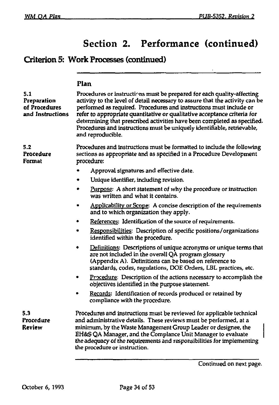### Criterion 5: Work Processes (continued)

|                                                         | Plan                                                                                                                                                                                                                                                                                                                                                                                                                                                                                 |
|---------------------------------------------------------|--------------------------------------------------------------------------------------------------------------------------------------------------------------------------------------------------------------------------------------------------------------------------------------------------------------------------------------------------------------------------------------------------------------------------------------------------------------------------------------|
| 5.1<br>Preparation<br>of Procedures<br>and Instructions | Procedures or instructions must be prepared for each quality-affecting<br>activity to the level of detail necessary to assure that the activity can be<br>performed as required. Procedures and instructions must include or<br>refer to appropriate quantitative or qualitative acceptance criteria for<br>determining that prescribed activities have been completed as specified.<br>Procedures and instructions must be uniquely identifiable, retrievable,<br>and reproducible. |
| 5.2<br>Procedure<br>Format                              | Procedures and instructions must be formatted to include the following<br>sections as appropriate and as specified in a Procedure Development<br>procedure:                                                                                                                                                                                                                                                                                                                          |
|                                                         | Approval signatures and effective date.                                                                                                                                                                                                                                                                                                                                                                                                                                              |
|                                                         | Unique identifier, including revision.                                                                                                                                                                                                                                                                                                                                                                                                                                               |
|                                                         | Purpose: A short statement of why the procedure or instruction<br>was written and what it contains.                                                                                                                                                                                                                                                                                                                                                                                  |
|                                                         | Applicability or Scope: A concise description of the requirements<br>and to which organization they apply.                                                                                                                                                                                                                                                                                                                                                                           |
|                                                         | References: Identification of the source of requirements.<br>٠                                                                                                                                                                                                                                                                                                                                                                                                                       |
|                                                         | Responsibilities: Description of specific positions/organizations<br>٠<br>identified within the procedure.                                                                                                                                                                                                                                                                                                                                                                           |
|                                                         | Definitions: Descriptions of unique acronyms or unique terms that<br>are not included in the overall QA program glossary<br>(Appendix A). Definitions can be based on reference to<br>standards, codes, regulations, DOE Orders, LBL practices, etc.                                                                                                                                                                                                                                 |
|                                                         | <b>Procedure:</b> Description of the actions necessary to accomplish the<br>objectives identified in the purpose statement.                                                                                                                                                                                                                                                                                                                                                          |
|                                                         | Records: Identification of records produced or retained by<br>compliance with the procedure.                                                                                                                                                                                                                                                                                                                                                                                         |
| 5.3<br>Procedure<br>Review                              | Procedures and instructions must be reviewed for applicable technical<br>and administrative details. These reviews must be performed, at a<br>minimum, by the Waste Management Group Leader or designee, the<br>EH&S QA Manager, and the Complance Unit Manager to evaluate<br>the adequacy of the requirements and responsibilities for implementing<br>the procedure or instruction.                                                                                               |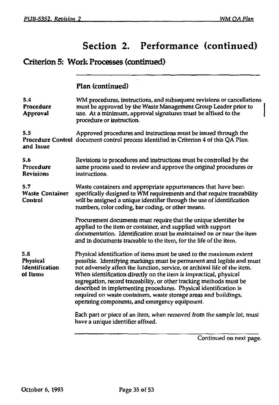### Criterion 5: Work Processes (continued)

### **Plan (continued)**

| 5.4<br>Procedure<br>Approval                  | WM procedures, instructions, and subsequent revisions or cancellations<br>must be approved by the Waste Management Group Leader prior to<br>use. At a minimum, approval signatures must be affixed to the<br>procedure or instruction.                                                                                                                                                                                                                                                                                                                          |
|-----------------------------------------------|-----------------------------------------------------------------------------------------------------------------------------------------------------------------------------------------------------------------------------------------------------------------------------------------------------------------------------------------------------------------------------------------------------------------------------------------------------------------------------------------------------------------------------------------------------------------|
| 5.5<br>and Issue                              | Approved procedures and instructions must be issued through the<br>Procedure Control document control process identified in Criterion 4 of this QA Plan.                                                                                                                                                                                                                                                                                                                                                                                                        |
| 5.6<br>Procedure<br><b>Revisions</b>          | Revisions to procedures and instructions must be controlled by the<br>same process used to review and approve the original procedures or<br>instructions.                                                                                                                                                                                                                                                                                                                                                                                                       |
| 5.7<br><b>Waste Container</b><br>Control      | Waste containers and appropriate appurtenances that have been<br>specifically designed to WM requirements and that require traceability<br>will be assigned a unique identifier through the use of identification<br>numbers, color coding, bar coding, or other means.                                                                                                                                                                                                                                                                                         |
|                                               | Procurement documents must require that the unique identifier be<br>applied to the item or container, and supplied with support<br>documentation. Identification must be maintained on or near the item<br>and in documents traceable to the item, for the life of the item.                                                                                                                                                                                                                                                                                    |
| 5.8<br>Physical<br>Identification<br>of Items | Physical identification of items must be used to the maximum extent<br>possible. Identifying markings must be permanent and legible and must<br>not adversely affect the function, service, or archival life of the item.<br>When identification directly on the item is impractical, physical<br>segregation, record traceability, or other tracking methods must be<br>described in implementing procedures. Physical identification is<br>required on waste containers, waste storage areas and buildings,<br>operating components, and emergency equipment. |
|                                               | Each part or piece of an item, when removed from the sample lot, must<br>have a unique identifier affixed.                                                                                                                                                                                                                                                                                                                                                                                                                                                      |
|                                               |                                                                                                                                                                                                                                                                                                                                                                                                                                                                                                                                                                 |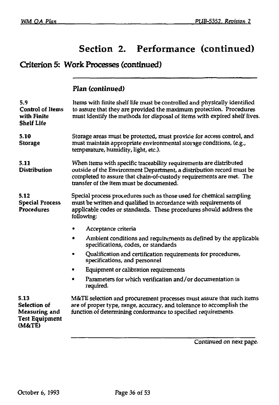### Criterion 5: Work Processes (continued)

### **Plan {continued)**

| 5.9<br><b>Control of Items</b><br>with Finite<br><b>Shelf Life</b>       | ltems with finite shelf life must be controlled and physically identified<br>to assure that they are provided the maximum protection. Procedures<br>must identify the methods for disposal of items with expired shelf lives.                                 |
|--------------------------------------------------------------------------|---------------------------------------------------------------------------------------------------------------------------------------------------------------------------------------------------------------------------------------------------------------|
| 5.10<br><b>Storage</b>                                                   | Storage areas must be protected, must provide for access control, and<br>must maintain appropriate environmental storage conditions, (e.g.,<br>temperature, humidity, light, etc.).                                                                           |
| 5.11<br><b>Distribution</b>                                              | When items with specific traceability requirements are distributed<br>outside of the Environment Department, a distribution record must be<br>completed to assure that chain-of-custody requirements are met. The<br>transfer of the item must be documented. |
| 5.12<br><b>Special Process</b><br><b>Procedures</b>                      | Special process procedures such as those used for chemical sampling<br>must be written and qualified in accordance with requirements of<br>applicable codes or standards. These procedures should address the<br>following:                                   |
|                                                                          | Acceptance criteria                                                                                                                                                                                                                                           |
|                                                                          | Ambient conditions and requirements as defined by the applicable<br>specifications, codes, or standards                                                                                                                                                       |
|                                                                          | Qualification and certification requirements for procedures,<br>٠<br>specifications, and personnel                                                                                                                                                            |
|                                                                          | Equipment or calibration requirements<br>٠                                                                                                                                                                                                                    |
|                                                                          | Parameters for which verification and/or documentation is<br>required.                                                                                                                                                                                        |
| 5.13<br>Selection of<br>Measuring and<br><b>Test Equipment</b><br>(M&TE) | M&TE selection and procurement processes must assure that such items<br>are of proper type, range, accuracy, and tolerance to accomplish the<br>function of determining conformance to specified requirements.                                                |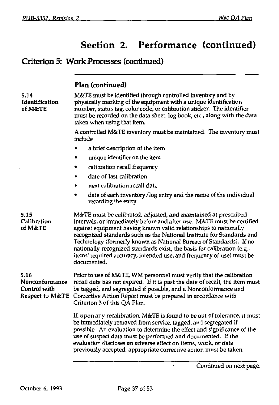# Criterion 5: Work Processes (continued)

|                                        | Plan (continued)                                                                                                                                                                                                                                                                                                                                                                                                                                                                                                                |
|----------------------------------------|---------------------------------------------------------------------------------------------------------------------------------------------------------------------------------------------------------------------------------------------------------------------------------------------------------------------------------------------------------------------------------------------------------------------------------------------------------------------------------------------------------------------------------|
| 5.14<br>Identification<br>of M&TE      | M&TE must be identified through controlled inventory and by<br>physically marking of the equipment with a unique identification<br>number, status tag, color code, or calibration sticker. The identifier<br>must be recorded on the data sheet, log book, etc., along with the data<br>taken when using that item.                                                                                                                                                                                                             |
|                                        | A controlled M&TE inventory must be maintained. The inventory must<br>include                                                                                                                                                                                                                                                                                                                                                                                                                                                   |
|                                        | a brief description of the item                                                                                                                                                                                                                                                                                                                                                                                                                                                                                                 |
|                                        | unique identifier on the item                                                                                                                                                                                                                                                                                                                                                                                                                                                                                                   |
|                                        | calibration recall frequency                                                                                                                                                                                                                                                                                                                                                                                                                                                                                                    |
|                                        | date of last calibration                                                                                                                                                                                                                                                                                                                                                                                                                                                                                                        |
|                                        | next calibration recall date                                                                                                                                                                                                                                                                                                                                                                                                                                                                                                    |
|                                        | date of each inventory/log entry and the name of the individual<br>٠<br>recording the entry                                                                                                                                                                                                                                                                                                                                                                                                                                     |
| 5.15<br>Calibration<br>of M&TE         | M&TE must be calibrated, adjusted, and maintained at prescribed<br>intervals, or immediately before and after use. M&TE must be certified<br>against equipment having known valid relationships to nationally<br>recognized standards such as the National Institute for Standards and<br>Technology (formerly known as National Bureau of Standards). If no<br>nationally recognized standards exist, the basis for calibration (e.g.,<br>items' required accuracy, intended use, and frequency of use) must be<br>documented. |
| 5.16<br>Nonconformance<br>Control with | Prior to use of M&TE, WM personnel must verify that the calibration<br>recall date has not expired. If it is past the date of recall, the item must<br>be tagged, and segregated if possible, and a Nonconformance and<br>Respect to M&TE Corrective Action Report must be prepared in accordance with<br>Criterion 3 of this QA Plan.                                                                                                                                                                                          |
|                                        | If, upon any recalibration, M&TE is found to be out of tolerance, it must<br>be immediately removed from service, tagged, and segregated if<br>possible. An evaluation to determine the effect and significance of the<br>use of suspect data must be performed and documented. If the<br>evaluation discloses an adverse effect on items, work, or data<br>previously accepted, appropriate corrective action must be taken.                                                                                                   |
|                                        | Continued on next page.                                                                                                                                                                                                                                                                                                                                                                                                                                                                                                         |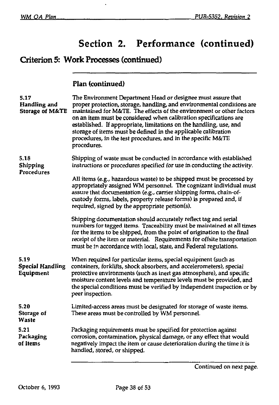# Criterion 5: Work Processes (continued)

### **Flan (continued)**

| 5.17<br>Handling and<br><b>Storage of M&amp;TE</b> | The Environment Department Head or designee must assure that<br>proper protection, storage, handling, and environmental conditions are<br>maintained for M&TE. The effects of the environment or other factors<br>on an item must be considered when calibration specifications are<br>established. If appropriate, limitations on the handling, use, and<br>storage of items must be defined in the applicable calibration<br>procedures, in the test procedures, and in the specific M&TE<br>procedures. |
|----------------------------------------------------|------------------------------------------------------------------------------------------------------------------------------------------------------------------------------------------------------------------------------------------------------------------------------------------------------------------------------------------------------------------------------------------------------------------------------------------------------------------------------------------------------------|
| 5.18<br>Shipping<br>Procedures                     | Shipping of waste must be conducted in accordance with established<br>instructions or procedures specified for use in conducting the activity.                                                                                                                                                                                                                                                                                                                                                             |
|                                                    | All items (e.g., hazardous waste) to be shipped must be processed by<br>appropriately assigned WM personnel. The cognizant individual must<br>assure that documentation (e.g., carrier shipping forms, chain-of-<br>custody forms, labels, property release forms) is prepared and, if<br>required, signed by the appropriate person(s).                                                                                                                                                                   |
|                                                    | Shipping documentation should accurately reflect tag and serial<br>numbers for tagged items. Traceability must be maintained at all times<br>for the items to be shipped, from the point of origination to the final<br>receipt of the item or material. Requirements for offsite transportation<br>must be in accordance with local, state, and Federal regulations.                                                                                                                                      |
| 5.19<br><b>Special Handling</b><br>Equipment       | When required for particular items, special equipment (such as<br>containers, forklifts, shock absorbers, and accelerometers), special<br>protective environments (such as inert gas atmosphere), and specific<br>moisture content levels and temperature levels must be provided, and<br>the special conditions must be verified by independent inspection or by<br>peer inspection.                                                                                                                      |
| 5.20<br>Storage of<br>Waste                        | Limited-access areas must be designated for storage of waste items.<br>These areas must be controlled by WM personnel.                                                                                                                                                                                                                                                                                                                                                                                     |
| 5.21<br>Packaging<br>of Items                      | Packaging requirements must be specified for protection against<br>corrosion, contamination, physical damage, or any effect that would<br>negatively impact the item or cause deterioration during the time it is<br>handled, stored, or shipped.                                                                                                                                                                                                                                                          |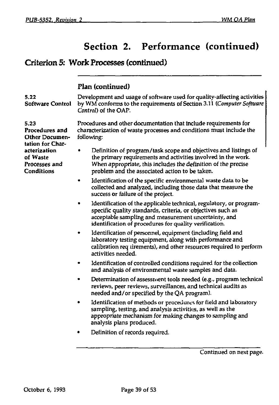### Criterion 5: Work Processes (continued)

### **Flan (continued)**

| 5.22<br>Software Control                                                                                                | Development and usage of software used for quality-affecting activities<br>by WM conforms to the requirements of Section 3.11 (Computer Software<br>Control) of the OAP.                                                                             |
|-------------------------------------------------------------------------------------------------------------------------|------------------------------------------------------------------------------------------------------------------------------------------------------------------------------------------------------------------------------------------------------|
| 5.23<br>Procedures and<br>Other Documen-<br>tation for Char-<br>acterization<br>of Waste<br>Processes and<br>Conditions | Procedures and other documentation that include requirements for<br>characterization of waste processes and conditions must include the<br>following:                                                                                                |
|                                                                                                                         | Definition of program/task scope and objectives and listings of<br>the primary requirements and activities involved in the work.<br>When appropriate, this includes the definition of the precise<br>problem and the associated action to be taken.  |
|                                                                                                                         | Identification of the specific environmental waste data to be<br>collected and analyzed, including those data that measure the<br>success or failure of the project.                                                                                 |
|                                                                                                                         | Identification of the applicable technical, regulatory, or program-<br>specific quality standards, criteria, or objectives such as<br>acceptable sampling and measurement uncertainty, and<br>identification of procedures for quality verification. |
|                                                                                                                         | Identification of personnel, equipment (including field and<br>laboratory testing equipment, along with performance and<br>calibration requirements), and other resources required to perform<br>activities needed.                                  |
|                                                                                                                         | Identification of controlled conditions required for the collection<br>and analysis of environmental waste samples and data.                                                                                                                         |
|                                                                                                                         | Determination of assessment tools needed (e.g., program technical<br>reviews, peer reviews, surveillances, and technical audits as<br>needed and/or specified by the QA program).                                                                    |
|                                                                                                                         | Identification of methods or procedures for field and laboratory<br>٠<br>sampling, testing, and analysis activities, as well as the<br>appropriate mechanism for making changes to sampling and<br>analysis plans produced.                          |
|                                                                                                                         | Definition of records required.                                                                                                                                                                                                                      |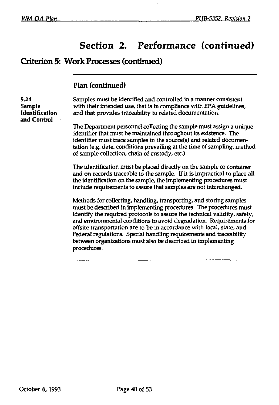$\ddot{\phantom{a}}$ 

### **Criterion 5: Work Processes (continued)**

### **Plan (continued)**

| 5.24<br>Sample<br>Identification<br>and Control | Samples must be identified and controlled in a manner consistent<br>with their intended use, that is in compliance with EPA guidelines,<br>and that provides traceability to related documentation.                                                                                                                                                                                                                                                                                                                         |
|-------------------------------------------------|-----------------------------------------------------------------------------------------------------------------------------------------------------------------------------------------------------------------------------------------------------------------------------------------------------------------------------------------------------------------------------------------------------------------------------------------------------------------------------------------------------------------------------|
|                                                 | The Department personnel collecting the sample must assign a unique<br>identifier that must be maintained throughout its existence. The<br>identifier must trace samples to the source(s) and related documen-<br>tation (e.g. date, conditions prevailing at the time of sampling, method<br>of sample collection, chain of custody, etc.)                                                                                                                                                                                 |
|                                                 | The identification must be placed directly on the sample or container<br>and on records traceable to the sample. If it is impractical to place all<br>the identification on the sample, the implementing procedures must<br>include requirements to assure that samples are not interchanged.                                                                                                                                                                                                                               |
|                                                 | Methods for collecting, handling, transporting, and storing samples<br>must be described in implementing procedures. The procedures must<br>identify the required protocols to assure the technical validity, safety,<br>and environmental conditions to avoid degradation. Requirements for<br>offsite transportation are to be in accordance with local, state, and<br>Federal regulations. Special handling requirements and traceability<br>between organizations must also be described in implementing<br>procedures. |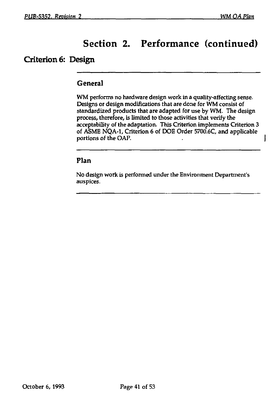I

# Section 2. Performance (continued)

### **Criterion 6: Design**

#### General

WM performs no hardware design work in a quality-affecting sense. Designs or design modifications that are done for WM consist of standardized products that are adapted for use by WM. The design process, therefore, is limited to those activities that verify the acceptability of the adaptation. This Criterion implements Criterion 3 of ASME NQA-1, Criterion 6 of DOE Order 5700.6C and applicable portions of the OAP.

#### **Plan**

No design work is performed under the Environment Department's auspices.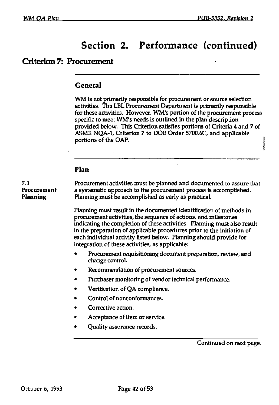#### **Criterion 7: Procurement**

#### **General**

WM is not primarily responsible for procurement or source selection activities. The LBL Procurement Department is primarily responsible for these activities. However, WM's portion of the procurement process specific to meet WM's needs is outlined in the plan description provided below. This Criterion satisfies portions of Criteria 4 and 7 of ASME NQA-1, Criterion 7 to DOE Order 5700.6C, and applicable portions of the OAP.

#### **Plan**

7.1 **Procurement activities must be planned and documented to assure that**  $\frac{1}{2}$  **Procurement a** systematic approach to the procurement process is accomplished. a systematic approach to the procurement process is accomplished. **Planning** Planning must be accomplished as early as practical.

> Planning must result in the documented identification of methods in procurement activities, the sequence of actions, and milestones indicating the completion of these activities. Planning must also result in the preparation of applicable procedures prior to the initiation of each individual activity listed below. Planning should provide for integration of these activities, as applicable:

- Procurement requisitioning document preparation, review, and change control.
- Recommendation of procurement sources.
- Purchaser monitoring of vendor technical performance.
- Verification of QA compliance.
- Control of nonconformances.
- Corrective action.
- Acceptance of item or service.
- Quality assurance records.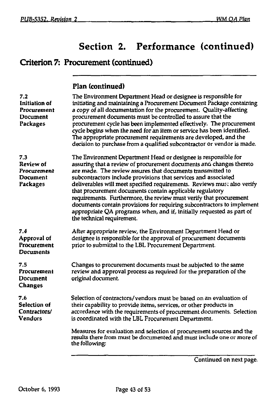# Criterion 7: Procurement (continued)

|  | Plan (continued) |
|--|------------------|
|--|------------------|

| 7.2<br>Initiation of<br>Procurement<br>Document<br>Packages | The Environment Department Head or designee is responsible for<br>initiating and maintaining a Procurement Document Package containing<br>a copy of all documentation for the procurement. Quality-affecting<br>procurement documents must be controlled to assure that the<br>procurement cycle has been implemented effectively. The procurement<br>cycle begins when the need for an item or service has been identified.<br>The appropriate procurement requirements are developed, and the<br>decision to purchase from a qualified subcontractor or vendor is made.                                                                                          |
|-------------------------------------------------------------|--------------------------------------------------------------------------------------------------------------------------------------------------------------------------------------------------------------------------------------------------------------------------------------------------------------------------------------------------------------------------------------------------------------------------------------------------------------------------------------------------------------------------------------------------------------------------------------------------------------------------------------------------------------------|
| 7.3<br>Review of<br>Procurement<br>Document<br>Packages     | The Environment Department Head or designee is responsible for<br>assuring that a review of procurement documents and changes thereto<br>are made. The review assures that documents transmitted to<br>subcontractors include provisions that services and associated<br>deliverables will meet specified requirements. Reviews must also verify<br>that procurement documents contain applicable regulatory<br>requirements. Furthermore, the review must verify that procurement<br>documents contain provisions for requiring subcontractors to implement<br>appropriate QA programs when, and if, initially requested as part of<br>the technical requirement. |
| 7.4<br>Approval of<br>Procurement<br>Documents              | After appropriate review, the Environment Department Head or<br>designee is responsible for the approval of procurement documents<br>prior to submittal to the LBL Procurement Department.                                                                                                                                                                                                                                                                                                                                                                                                                                                                         |
| 7.5<br>Procurement<br>Document<br><b>Changes</b>            | Changes to procurement documents must be subjected to the same<br>review and approval process as required for the preparation of the<br>original document.                                                                                                                                                                                                                                                                                                                                                                                                                                                                                                         |
| 76<br>Selection of<br>Contractors/<br>Vendors               | Selection of contractors/vendors must be based on an evaluation of<br>their capability to provide items, services, or other products in<br>accordance with the requirements of procurement documents. Selection<br>is coordinated with the LBL Procurement Department.                                                                                                                                                                                                                                                                                                                                                                                             |
|                                                             | Measures for evaluation and selection of procurement sources and the<br>results there from must be documented and must include one or more of<br>the following:                                                                                                                                                                                                                                                                                                                                                                                                                                                                                                    |
|                                                             |                                                                                                                                                                                                                                                                                                                                                                                                                                                                                                                                                                                                                                                                    |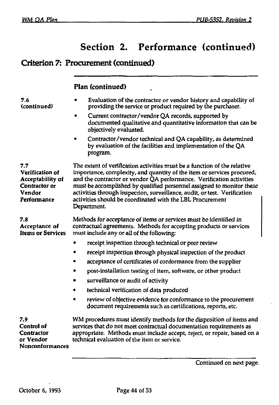l.

### Criterion 7: Procurement (continued)

### **Plan (continued)**

| 7.6<br>(continued)                                                                   | Evaluation of the contractor or vendor history and capability of<br>providing the service or product required by the purchaser.                                                                                                                                                                                                                                                                                                                              |
|--------------------------------------------------------------------------------------|--------------------------------------------------------------------------------------------------------------------------------------------------------------------------------------------------------------------------------------------------------------------------------------------------------------------------------------------------------------------------------------------------------------------------------------------------------------|
|                                                                                      | Current contractor/vendor QA records, supported by<br>documented qualitative and quantitative information that can be<br>objectively evaluated.                                                                                                                                                                                                                                                                                                              |
|                                                                                      | Contractor/vendor technical and QA capability, as determined<br>by evaluation of the facilities and implementation of the QA<br>program.                                                                                                                                                                                                                                                                                                                     |
| 7.7<br>Verification of<br>Acceptability of<br>Contractor or<br>Vendor<br>Performance | The extent of verification activities must be a function of the relative<br>importance, complexity, and quantity of the item or services procured,<br>and the contractor or vendor QA performance. Verification activities<br>must be accomplished by qualified personnel assigned to monitor these<br>activities through inspection, surveillance, audit, or test. Verification<br>activities should be coordinated with the LBL Procurement<br>Department. |
| 7.8<br>Acceptance of<br><b>Items or Services</b>                                     | Methods for acceptance of items or services must be identified in<br>contractual agreements. Methods for accepting products or services<br>must include any or all of the following:                                                                                                                                                                                                                                                                         |
|                                                                                      | receipt inspection through technical or peer review                                                                                                                                                                                                                                                                                                                                                                                                          |
|                                                                                      | receipt inspection through physical inspection of the product                                                                                                                                                                                                                                                                                                                                                                                                |
|                                                                                      | acceptance of certificates of conformance from the supplier                                                                                                                                                                                                                                                                                                                                                                                                  |
|                                                                                      | post-installation testing of item, software, or other product                                                                                                                                                                                                                                                                                                                                                                                                |
|                                                                                      | surveillance or audit of activity                                                                                                                                                                                                                                                                                                                                                                                                                            |
|                                                                                      | technical verification of data produced                                                                                                                                                                                                                                                                                                                                                                                                                      |
|                                                                                      | review of objective evidence for conformance to the procurement<br>document requirements such as certifications, reports, etc.                                                                                                                                                                                                                                                                                                                               |
| 7.9<br>Control of<br>Contractor<br>or Vendor<br><b>Nonconformances</b>               | WM procedures must identify methods for the disposition of items and<br>services that do not meet contractual documentation requirements as<br>appropriate. Methods must include accept, reject, or repair, based on a<br>technical evaluation of the item or service.                                                                                                                                                                                       |
|                                                                                      |                                                                                                                                                                                                                                                                                                                                                                                                                                                              |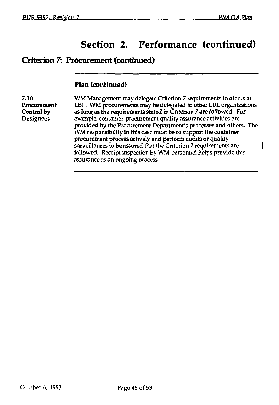ł

# Section 2. Performance (continued)

### Criterion 7: Procurement (continued)

#### **Plan (continued)**

**7.10** WM Management may delegate Criterion 7 requirements to othe.s at **Procurement** LBL. WM procurements may be delegated to other LBL organizations Control by as long as the requirements stated in Criterion 7 are followed. For **Control** by as long as the requirements stated in Criterion *7* are followed. For example, container-procurement quality assurance activities are provided by the Procurement Department's processes and others. The WM responsibility in this case must be to support the container procurement process actively and perform audits or quality surveillances to be assured that the Criterion 7 requirements are followed. Receipt inspection by WM personnel helps provide this assurance as an ongoing process.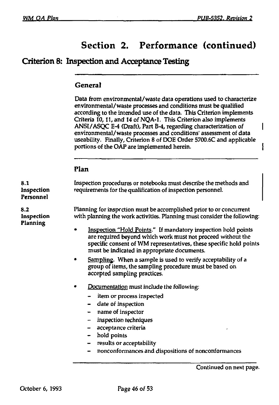1

# Section 2. Performance (continued)

### Criterion 8: Inspection and Acceptance Testing

#### **General**

Data from environmental/waste data operations used to characterize environmental/ waste processes and conditions must be qualified according to the intended use of the data. This Criterion implements Criteria 10,11, and 14 of NQA-1. This Criterion also implements ANSI/ASQC E-4 (Draft), Part B-4, regarding characterization of environmental/waste processes and conditions' assessment of data useability. Finally, Criterion 8 of DOE Order 5700.6C and applicable portions of the OAP are implemented herein.

#### **Plan**

| 8.1<br>Inspection<br>Personnel | Inspection procedures or notebooks must describe the methods and<br>requirements for the qualification of inspection personnel.                                                                                                                                                                                                                                                                                                                                                                                                                                                                                                                                                                                                                                                                                                                                                         |
|--------------------------------|-----------------------------------------------------------------------------------------------------------------------------------------------------------------------------------------------------------------------------------------------------------------------------------------------------------------------------------------------------------------------------------------------------------------------------------------------------------------------------------------------------------------------------------------------------------------------------------------------------------------------------------------------------------------------------------------------------------------------------------------------------------------------------------------------------------------------------------------------------------------------------------------|
| 8.2<br>Inspection<br>Planning  | Planning for inspection must be accomplished prior to or concurrent<br>with planning the work activities. Planning must consider the following:<br>Inspection "Hold Points." If mandatory inspection hold points<br>are required beyond which work must not proceed without the<br>specific consent of WM representatives, these specific hold points<br>must be indicated in appropriate documents.<br>Sampling. When a sample is used to verify acceptability of a<br>٠<br>group of items, the sampling procedure must be based on<br>accepted sampling practices.<br>Documentation must include the following:<br>٠<br>- item or process inspected<br>date of inspection<br>name of inspector<br>$\blacksquare$<br>inspection techniques<br>$-$<br>acceptance criteria<br>hold points<br>results or acceptability<br>- 1<br>nonconformances and dispositions of nonconformances<br>- |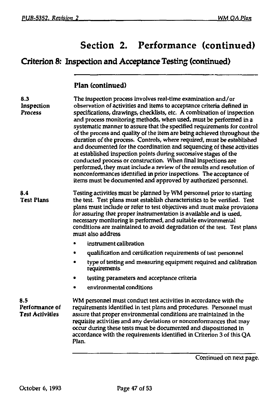# Criterion 8: Inspection and Acceptance Testing (continued)

### **Plan (continued)**

| 8.3<br>Inspection<br><b>Process</b>             | The inspection process involves real-time examination and/or<br>observation of activities and items to acceptance criteria defined in<br>specifications, drawings, checklists, etc. A combination of inspection<br>and process monitoring methods, when used, must be performed in a<br>systematic manner to assure that the specified requirements for control<br>of the process and quality of the item are being achieved throughout the<br>duration of the process. Controls, where required, must be established<br>and documented for the coordination and sequencing of these activities<br>at established inspection points during successive stages of the<br>conducted process or construction. When final inspections are<br>performed, they must include a review of the results and resolution of<br>nonconformances identified in prior inspections. The acceptance of<br>items must be documented and approved by authorized personnel. |
|-------------------------------------------------|--------------------------------------------------------------------------------------------------------------------------------------------------------------------------------------------------------------------------------------------------------------------------------------------------------------------------------------------------------------------------------------------------------------------------------------------------------------------------------------------------------------------------------------------------------------------------------------------------------------------------------------------------------------------------------------------------------------------------------------------------------------------------------------------------------------------------------------------------------------------------------------------------------------------------------------------------------|
| 8.4<br><b>Test Plans</b>                        | Testing activities must be planned by WM personnel prior to starting<br>the test. Test plans must establish characteristics to be verified. Test<br>plans must include or refer to test objectives and must make provisions<br>for assuring that proper instrumentation is available and is used,<br>necessary monitoring is performed, and suitable environmental<br>conditions are maintained to avoid degradation of the test. Test plans<br>must also address                                                                                                                                                                                                                                                                                                                                                                                                                                                                                      |
|                                                 | instrument calibration                                                                                                                                                                                                                                                                                                                                                                                                                                                                                                                                                                                                                                                                                                                                                                                                                                                                                                                                 |
|                                                 | qualification and certification requirements of test personnel                                                                                                                                                                                                                                                                                                                                                                                                                                                                                                                                                                                                                                                                                                                                                                                                                                                                                         |
|                                                 | type of testing and measuring equipment required and calibration<br>requirements                                                                                                                                                                                                                                                                                                                                                                                                                                                                                                                                                                                                                                                                                                                                                                                                                                                                       |
|                                                 | testing parameters and acceptance criteria                                                                                                                                                                                                                                                                                                                                                                                                                                                                                                                                                                                                                                                                                                                                                                                                                                                                                                             |
|                                                 | environmental conditions                                                                                                                                                                                                                                                                                                                                                                                                                                                                                                                                                                                                                                                                                                                                                                                                                                                                                                                               |
| 8.5<br>Performance of<br><b>Test Activities</b> | WM personnel must conduct test activities in accordance with the<br>requirements identified in test plans and procedures. Personnel must<br>assure that proper environmental conditions are maintained in the<br>requisite activities and any deviations or nonconformances that may<br>occur during these tests must be documented and dispositioned in<br>accordance with the requirements identified in Criterion 3 of this QA<br>Plan.                                                                                                                                                                                                                                                                                                                                                                                                                                                                                                             |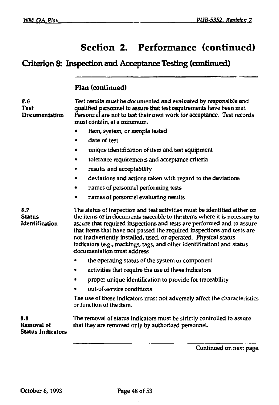## **Criterion 8: Inspection and Acceptance Testing (continued)**

### **Flan (continued)**

| 8.6<br>Test<br>Documentation                  | Test results must be documented and evaluated by responsible and<br>qualified personnel to assure that test requirements have been met.<br>Personnel are not to test their own work for acceptance. Test records<br>must contain, at a minimum,                                                                                                                                                                                                                                       |
|-----------------------------------------------|---------------------------------------------------------------------------------------------------------------------------------------------------------------------------------------------------------------------------------------------------------------------------------------------------------------------------------------------------------------------------------------------------------------------------------------------------------------------------------------|
|                                               | item, system, or sample tested                                                                                                                                                                                                                                                                                                                                                                                                                                                        |
|                                               | date of test                                                                                                                                                                                                                                                                                                                                                                                                                                                                          |
|                                               | unique identification of item and test equipment                                                                                                                                                                                                                                                                                                                                                                                                                                      |
|                                               | tolerance requirements and acceptance criteria<br>٠                                                                                                                                                                                                                                                                                                                                                                                                                                   |
|                                               | results and acceptability                                                                                                                                                                                                                                                                                                                                                                                                                                                             |
|                                               | deviations and actions taken with regard to the deviations                                                                                                                                                                                                                                                                                                                                                                                                                            |
|                                               | names of personnel performing tests                                                                                                                                                                                                                                                                                                                                                                                                                                                   |
|                                               | names of personnel evaluating results                                                                                                                                                                                                                                                                                                                                                                                                                                                 |
| 8.7<br><b>Status</b><br>Identification        | The status of inspection and test activities must be identified either on<br>the items or in documents traceable to the items where it is necessary to<br>assure that required inspections and tests are performed and to assure<br>that items that have not passed the required inspections and tests are<br>not inadvertently installed, used, or operated. Physical status<br>indicators (e.g., markings, tags, and other identification) and status<br>documentation must address |
|                                               | the operating status of the system or component                                                                                                                                                                                                                                                                                                                                                                                                                                       |
|                                               | activities that require the use of these indicators<br>٠                                                                                                                                                                                                                                                                                                                                                                                                                              |
|                                               | proper unique identification to provide for traceability<br>۰                                                                                                                                                                                                                                                                                                                                                                                                                         |
|                                               | out-of-service conditions                                                                                                                                                                                                                                                                                                                                                                                                                                                             |
|                                               | The use of these indicators must not adversely affect the characteristics<br>or function of the item.                                                                                                                                                                                                                                                                                                                                                                                 |
| 8.8<br>Removal of<br><b>Status Indicators</b> | The removal of status indicators must be strictly controlled to assure<br>that they are removed only by authorized personnel.                                                                                                                                                                                                                                                                                                                                                         |
|                                               |                                                                                                                                                                                                                                                                                                                                                                                                                                                                                       |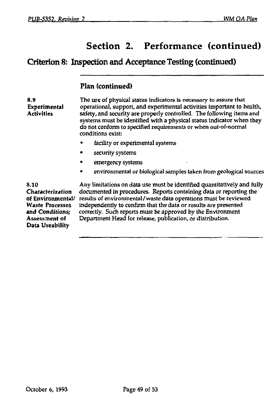### **Criterion 8: Inspection and Acceptance Testing (continued)**

#### **Plan (continued)**

8.9 Experimental **Activities** The use of physical status indicators is necessary to assure that operational, support, and experimental activities important to health, safety, and security are properly controlled. The following items and systems must be identified with a physical status indicator when they do not conform to specified requirements or when out-of-normal conditions exist:

- facility or experimental systems
- security systems
- emergency systems
- environmental or biological samples taken from geological sources

8.10 Characterization of Environmental/ Waste Processes and Conditions; Assessment of Data Usability

Any limitations on data use must be identified quantitatively and fully documented in procedures. Reports containing data *or* reporting the results of environmental/waste data operations must be reviewed independently to confirm that the data or results are presented correctly. Such reports must be approved by the Environment Department Head for release, publication, or distribution.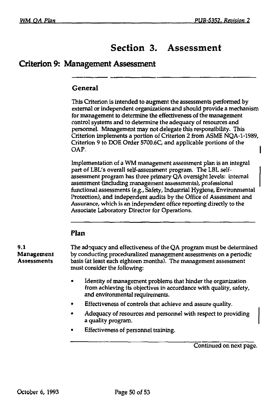# Section 3. Assessment

### Criterion 9: Management Assessment

#### **General**

This Criterion is intended to augment the assessments performed by external or independent organizations and should provide a mechanism for management to determine the effectiveness of the management control systems and to determine the adequacy of resources and personnel. Management may not delegate this responsibility. This Criterion implements a portion of Criterion 2 from ASME NQA-1-1989, Criterion 9 to DOE Order 5700.6C, and applicable portions of the OAP.

Implementation of a WM management assessment plan is an integral part of LBL's overall self-assessment program. The LBL selfassessment program has three primary QA oversight levels: internal assessment (including management assessments), professional functional assessments (e.g., Safety, Industrial Hygiene, Environmental Protection), and independent audits by the Office of Assessment and Assurance, which is an independent office reporting directly to the Associate Laboratory Director for Operations.

#### **Plan**

9.1 The adequacy and effectiveness of the QA program must be determined **Management** by conducting proceduralized management assessments on a periodic Assessments basis (at least each eighteen months). The management assessment must consider the following:

- Identity of management problems that hinder the organization from achieving its objectives in accordance with quality, safety, and environmental requirements.
- Effectiveness of controls that achieve and assure quality.
- Adequacy of resources and personnel with respect to providing a quality program.
- Effectiveness of personnel training.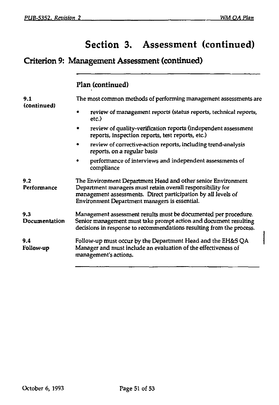# Section 3. Assessment (continued)

# Criterion 9: Management Assessment (continued)

**Plan (continued)** 

| 9.1<br>(continued)   | The most common methods of performing management assessments are                                                                                                                                                                             |
|----------------------|----------------------------------------------------------------------------------------------------------------------------------------------------------------------------------------------------------------------------------------------|
|                      | review of management reports (status reports, technical reports,<br>etc.)                                                                                                                                                                    |
|                      | review of quality-verification reports (independent assessment<br>reports, inspection reports, test reports, etc.)                                                                                                                           |
|                      | review of corrective-action reports, including trend-analysis<br>reports, on a regular basis                                                                                                                                                 |
|                      | performance of interviews and independent assessments of<br>compliance                                                                                                                                                                       |
| 9.2<br>Performance   | The Environment Department Head and other senior Environment<br>Department managers must retain overall responsibility for<br>management assessments. Direct participation by all levels of<br>Environment Department managers is essential. |
| 9.3<br>Documentation | Management assessment results must be documented per procedure.<br>Senior management must take prompt action and document resulting<br>decisions in response to recommendations resulting from the process.                                  |
| 9.4<br>Follow-up     | Follow-up must occur by the Department Head and the EH&S QA<br>Manager and must include an evaluation of the effectiveness of<br>management's actions.                                                                                       |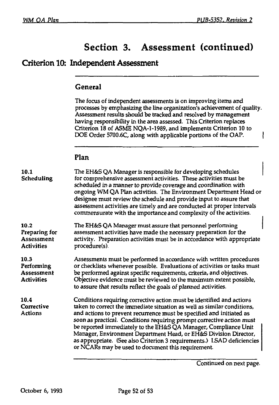# Section 3. Assessment (continued)

### Criterion 10: Independent Assessment

#### **General**

The focus of independent assessments is on improving items and processes by emphasizing **the** line organization's achievement of quality. Assessment results should be tracked and resolved by management having responsibility in the area assessed. This Criterion replaces Criterion 18 of ASME NQA-1-1989, and implements Criterion 10 to DOE Order 5700.6C, along with applicable portions of the OAP. ł

#### **Plan**

| 10.1<br>Scheduling                                       | The EH&S QA Manager is responsible for developing schedules<br>for comprehensive assessment activities. These activities must be<br>scheduled in a manner to provide coverage and coordination with<br>ongoing WM QA Plan activities. The Environment Department Head or<br>designee must review the schedule and provide input to assure that<br>assessment activities are timely and are conducted at proper intervals<br>commensurate with the importance and complexity of the activities.                                                                           |
|----------------------------------------------------------|--------------------------------------------------------------------------------------------------------------------------------------------------------------------------------------------------------------------------------------------------------------------------------------------------------------------------------------------------------------------------------------------------------------------------------------------------------------------------------------------------------------------------------------------------------------------------|
| 10.2<br>Preparing for<br>Assessment<br><b>Activities</b> | The EH&S QA Manager must assure that personnel performing<br>assessment activities have made the necessary preparation for the<br>activity. Preparation activities must be in accordance with appropriate<br>procedure(s).                                                                                                                                                                                                                                                                                                                                               |
| 10.3<br>Performing<br>Assessment<br><b>Activities</b>    | Assessments must be performed in accordance with written procedures<br>or checklists whenever possible. Evaluations of activities or tasks must<br>be performed against specific requirements, criteria, and objectives.<br>Objective evidence must be reviewed to the maximum extent possible,<br>to assure that results reflect the goals of planned activities.                                                                                                                                                                                                       |
| 10.4<br>Corrective<br>Actions                            | Conditions requiring corrective action must be identified and actions<br>taken to correct the immediate situation as well as similar conditions,<br>and actions to prevent recurrence must be specified and initiated as<br>soon as practical. Conditions requiring prompt corrective action must<br>be reported immediately to the EH&S QA Manager, Compliance Unit<br>Manager, Environment Department Head, or EH&S Division Director,<br>as appropriate. (See also Criterion 3 requirements.) LSAD deficiencies<br>or NCARs may be used to document this requirement. |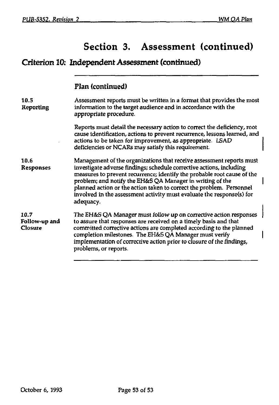# Section 3. Assessment (continued)

# Criterion 10: Independent Assessment (continued)

### Flan (continued)

| 10.5<br>Reporting                | Assessment reports must be written in a format that provides the most<br>information to the target audience and in accordance with the<br>appropriate procedure.                                                                                                                                                                                                                                                                                   |
|----------------------------------|----------------------------------------------------------------------------------------------------------------------------------------------------------------------------------------------------------------------------------------------------------------------------------------------------------------------------------------------------------------------------------------------------------------------------------------------------|
|                                  | Reports must detail the necessary action to correct the deficiency, root<br>cause identification, actions to prevent recurrence, lessons learned, and<br>actions to be taken for improvement, as appropriate. LSAD<br>deficiencies or NCARs may satisfy this requirement.                                                                                                                                                                          |
| 10.6<br>Responses                | Management of the organizations that receive assessment reports must<br>investigate adverse findings; schedule corrective actions, including<br>measures to prevent recurrence; identify the probable root cause of the<br>problem; and notify the EH&S QA Manager in writing of the<br>planned action or the action taken to correct the problem. Personnel<br>involved in the assessment activity must evaluate the response(s) for<br>adequacy. |
| 10.7<br>Follow-up and<br>Closure | The EH&S QA Manager must follow up on corrective action responses<br>to assure that responses are received on a timely basis and that<br>committed corrective actions are completed according to the planned<br>completion milestones. The EH&S QA Manager must verify<br>implementation of corrective action prior to closure of the findings,<br>problems, or reports.                                                                           |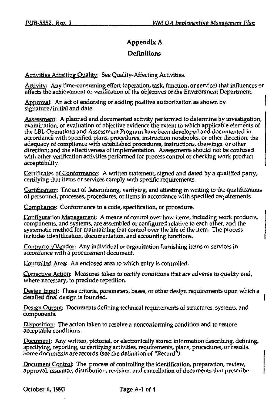### **Appendix A Definitions**

Activities Affecting Quality: See Quality-Affecting Activities.

Activity: Any time-consuming effort (operation, task, function, or service) that influences or affects the achievement or verification of the objectives of the Environment Department.

Approval: An act of endorsing or adding positive authorization as shown by signature/initial and date.

Assessment: A planned and documented activity performed to determine by investigation, examination, or evaluation of objective evidence the extent to which applicable elements of the LBL Operations and Assessment Program have been developed and documented in accordance with specified plans, procedures, instruction notebooks, or other direction; the adequacy of compliance with established procedures, instructions, drawings, or other direction; and the effectiveness of implementation. Assessments should not be confused with other verification activities performed for process control or checking work product acceptability.

Certificates of Conformance: A written statement, signed and dated by a qualified party, certifying that items or services comply with specific requirements.

Certification: The act of determining, verifying, and attesting in writing to the qualifications of personnel, processes, procedures, or items in accordance with specified requirements.

Compliance: Conformance to a code, specification, or procedure.

Configuration Management: A means of control over how items, including work products, components, and systems, are assembled or configured relative to each other, and the systematic method for maintaining that control over the life of the item. The process includes identification, documentation, and accounting functions.

Contractor/Vendor: Any individual or organization furnishing items or services in accordance with a procurement document.

Controlled Area: An enclosed area to which entry is controlled.

Corrective Action: Measures taken to rectify conditions that are adverse to quality and, where necessary, to preclude repetition.

Design Input: Those criteria, parameters, bases, or other design requirements upon which a detailed final design is founded.

Design Output: Documents defining technical requirements of structures, systems, and components.

Disposition: The action taken to resolve a nonconforming condition and to restore acceptable conditions.

Document: Any written, pictorial, or electronically stored information describing, defining, specifying, reporting, or certifying activities, requirements, plans, procedures, or results. Some documents are records (see the definition of "Record").

Document Control: The process of controlling the identification, preparation, review, approval, issuance, distribution, revision, and cancellation of documents that prescribe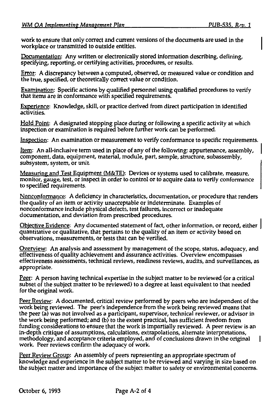work to ensure that only correct and current versions of the documents are used in the workplace or transmitted to outside entities.

Documentation: Any written or electronically stored information describing, defining, specifying, reporting, or certifying activities, procedures, or results.

Error: A discrepancy between a computed, observed, or measured value or condition and the true, specified, or theoretically correct value or condition.

Examination: Specific actions by qualified personnel using qualified procedures to verify that items are in conformance with specified requirements.

Experience: Knowledge, skill, or practice derived from direct participation in identified activities.

Hold Point: A designated stopping place during or following a specific activity at which inspection or examination is required before further work can be performed.

Inspection: An examination or measurement to verify conformance to specific requirements.

Item: An all-inclusive term used in place of any of the following: appurtenance, assembly, component, data, equipment, material, module, part, sample, structure, subassembly, subsystem, system, or unit.

Measuring and Test Equipment (M&TE): Devices or systems used to calibrate, measure, monitor, gauge, test, or inspect in order to control or to acquire data to verify conformance to specified requirements.

Nonconformance: A deficiency in characteristics, documentation, or procedure that renders the quality of an item or activity unacceptable or indeterminate. Examples of nonconformance include physical defects, test failures, incorrect or inadequate documentation, and deviation from prescribed procedures.

Objective Evidence: Any documented statement of fact, other information, or record, either quantitative or qualitative, that pertains to the quality of an item or activity based on observations, measurements, or tests that can be verified.

Overview: An analysis and assessment by management of the scope, status, adequacy, and effectiveness of quality achievement and assurance activities. Overview encompasses effectiveness assessments, technical reviews, readiness reviews, audits, and surveillances, as appropriate.

Peer: A person having technical expertise in the subject matter to be reviewed (or a critical subset of the subject matter to be reviewed) to a degree at least equivalent to that needed for the original work.

Peer Review: A documented, critical review performed by peers who are independent of the work being reviewed. The peer's independence from the work being reviewed means that the peer (a) was not involved as a participant, supervisor, technical reviewer, or advisor in the work being performed; and (b) to the extent practical, has sufficient freedom from funding considerations to ensure that the work is impartially reviewed. A peer review is an in-depth critique of assumptions, calculations, extrapolations, alternate interpretations, methodology, and acceptance criteria employed, and of conclusions drawn in the original work. Peer reviews confirm the adequacy of work.

Peer Review Group: An assembly of peers representing an appropriate spectrum of knowledge and experience in the subject matter to be reviewed and varying in size based on the subject matter and importance of the subject matter to safety or environmental concerns.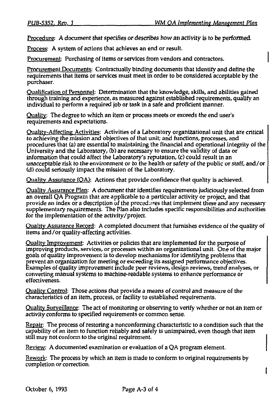Procedure: A document that specifies or describes how an activity is to be performed.

Process: A system of actions that achieves an end or result.

Procurement: Purchasing of items or services from vendors and contractors.

Procurement Documents: Contractually binding documents that identify and define the requirements that items or services must meet in order to be considered acceptable by the purchaser.

Qualification of Personnel: Determination that the knowledge, skills, and abilities gained through training and experience, as measured against established requirements, qualify an individual to perform a required job or task in a safe and proficient manner.

Quality: The degree to which an item or process meets or exceeds the end user's requirements and expectations.

Quality-Affecting Activities: Activities of a Laboratory organizational unit that are critical to achieving the mission and objectives of that unit; and functions, processes, and procedures that (a) are essential to maintaining the financial and operational integrity of the University and the Laboratory, (b) are necessary to ensure the validity of data or information that could affect the Laboratory's reputation, (c) could result in an unacceptable risk to the environment or to the health or safety of the public or staff, and/or (d) could seriously impact the mission of the Laboratory.

Quality Assurance (OA): Actions that provide confidence that quality is achieved.

Quality Assurance Plan: A document that identifies requirements judiciously selected from an overall QA Program that are applicable to a particular activity or project, and that provide an index or a description of the procedures that implement these and any necessary supplementary requirements. The Plan also includes specific responsibilities and authorities for the implementation of the activity/project.

Quality Assurance Record: A completed document that furnishes evidence of the quality of items and/or quality-affecting activities.

Quality Improvement: Activities or policies that are implemented for the purpose of improving products, services, or processes within an organizational unit. One of the major goals of quality improvement is to develop mechanisms for identifying problems that prevent an organization for meeting or exceeding its assigned performance objectives. Examples of quality improvement include peer reviews, design reviews, trend analyses, or converting manual systems to machine-readable systems to enhance performance or effectiveness.

Quality Control: Those actions that provide a means of control and measure of the characteristics of an item, process, or facility to established requirements.

Quality Surveillance: The act of monitoring or observing to verify whether or not an item or activity conforms to specified requirements or common sense.

Repair: The process of restoring a nonconforming characteristic to a condition such that the capability of an item to function reliably and safely is unimpaired, even though that item still may not conform to the original requirement.

Review: A documented examination or evaluation of a QA program element.

Rework: The process by which an item is made to conform to original requirements by completion or correction.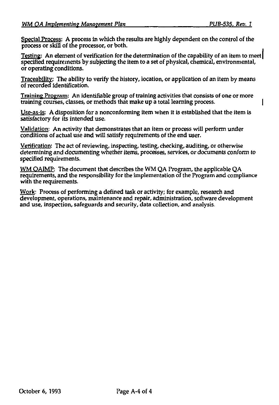Special Process: A process in which the results are highly dependent on the control of the process or skill of the processor, or both.

Testing: An element of verification for the determination of the capability of an item to meet| specified requirements by subjecting the item to a set of physical, chemical, environmental, or operating conditions.

Traceability: The ability to verify the history, location, or application of an item by means of recorded identification.

Training Program: An identifiable group of training activities that consists of one or more training courses, classes, or methods that make up a total learning process. |

Use-as-is: A disposition for a nonconforming item when it is established that the item is satisfactory for its intended use.

Validation: An activity that demonstrates that an item or process will perform under conditions of actual use and will satisfy requirements of the end user.

Verification: The act of reviewing, inspecting, testing, checking, auditing, or otherwise determining and documenting whether items, processes, services, or documents conform to specified requirements.

WM OA1MP: The document that describes the WM QA Program, the applicable QA requirements, and the responsibility for the implementation of the Program and compliance with the requirements.

Work: Process of performing a defined task or activity; for example, research and development, operations, maintenance and repair, administration, software development and use, inspection, safeguards and security, data collection, and analysis.